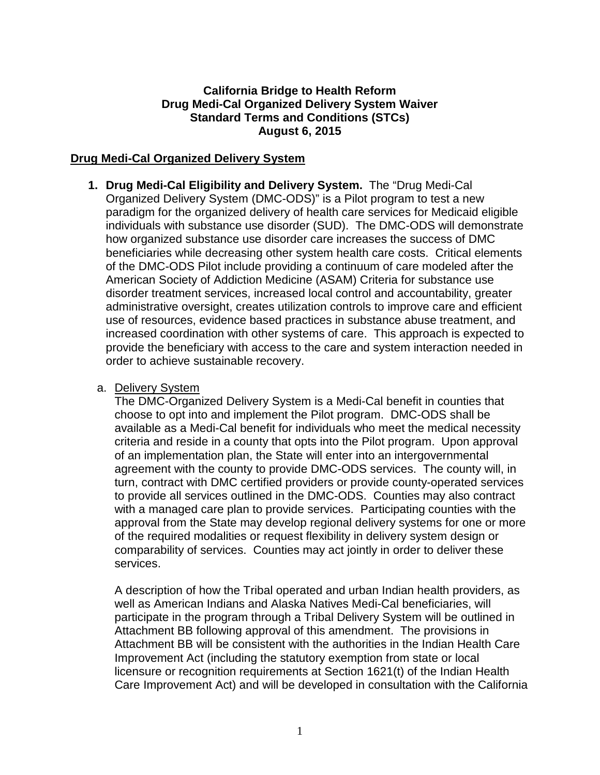### **California Bridge to Health Reform Drug Medi-Cal Organized Delivery System Waiver Standard Terms and Conditions (STCs) August 6, 2015**

### **Drug Medi-Cal Organized Delivery System**

**1. Drug Medi-Cal Eligibility and Delivery System.** The "Drug Medi-Cal Organized Delivery System (DMC-ODS)" is a Pilot program to test a new paradigm for the organized delivery of health care services for Medicaid eligible individuals with substance use disorder (SUD). The DMC-ODS will demonstrate how organized substance use disorder care increases the success of DMC beneficiaries while decreasing other system health care costs. Critical elements of the DMC-ODS Pilot include providing a continuum of care modeled after the American Society of Addiction Medicine (ASAM) Criteria for substance use disorder treatment services, increased local control and accountability, greater administrative oversight, creates utilization controls to improve care and efficient use of resources, evidence based practices in substance abuse treatment, and increased coordination with other systems of care. This approach is expected to provide the beneficiary with access to the care and system interaction needed in order to achieve sustainable recovery.

#### a. Delivery System

The DMC-Organized Delivery System is a Medi-Cal benefit in counties that choose to opt into and implement the Pilot program. DMC-ODS shall be available as a Medi-Cal benefit for individuals who meet the medical necessity criteria and reside in a county that opts into the Pilot program. Upon approval of an implementation plan, the State will enter into an intergovernmental agreement with the county to provide DMC-ODS services. The county will, in turn, contract with DMC certified providers or provide county-operated services to provide all services outlined in the DMC-ODS. Counties may also contract with a managed care plan to provide services. Participating counties with the approval from the State may develop regional delivery systems for one or more of the required modalities or request flexibility in delivery system design or comparability of services. Counties may act jointly in order to deliver these services.

A description of how the Tribal operated and urban Indian health providers, as well as American Indians and Alaska Natives Medi-Cal beneficiaries, will participate in the program through a Tribal Delivery System will be outlined in Attachment BB following approval of this amendment. The provisions in Attachment BB will be consistent with the authorities in the Indian Health Care Improvement Act (including the statutory exemption from state or local licensure or recognition requirements at Section 1621(t) of the Indian Health Care Improvement Act) and will be developed in consultation with the California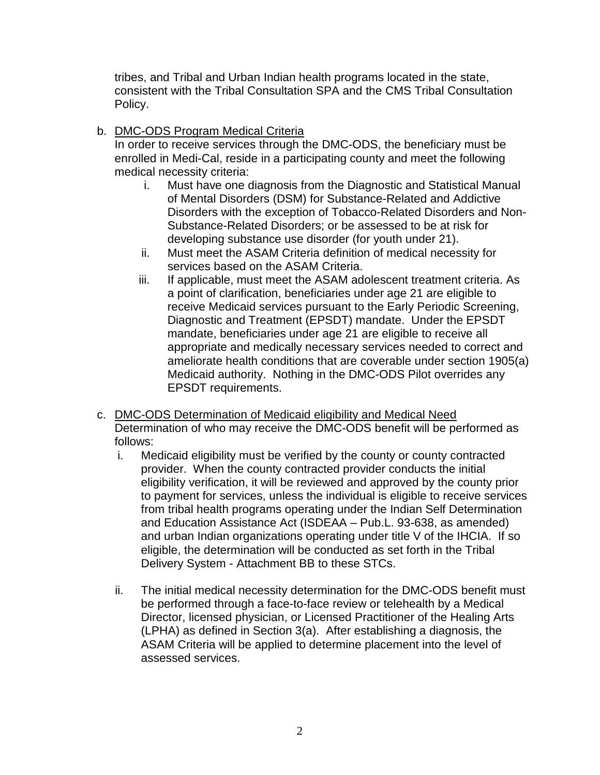tribes, and Tribal and Urban Indian health programs located in the state, consistent with the Tribal Consultation SPA and the CMS Tribal Consultation Policy.

b. DMC-ODS Program Medical Criteria

In order to receive services through the DMC-ODS, the beneficiary must be enrolled in Medi-Cal, reside in a participating county and meet the following medical necessity criteria:

- i. Must have one diagnosis from the Diagnostic and Statistical Manual of Mental Disorders (DSM) for Substance-Related and Addictive Disorders with the exception of Tobacco-Related Disorders and Non-Substance-Related Disorders; or be assessed to be at risk for developing substance use disorder (for youth under 21).
- ii. Must meet the ASAM Criteria definition of medical necessity for services based on the ASAM Criteria.
- iii. If applicable, must meet the ASAM adolescent treatment criteria. As a point of clarification, beneficiaries under age 21 are eligible to receive Medicaid services pursuant to the Early Periodic Screening, Diagnostic and Treatment (EPSDT) mandate. Under the EPSDT mandate, beneficiaries under age 21 are eligible to receive all appropriate and medically necessary services needed to correct and ameliorate health conditions that are coverable under section 1905(a) Medicaid authority. Nothing in the DMC-ODS Pilot overrides any EPSDT requirements.
- c. DMC-ODS Determination of Medicaid eligibility and Medical Need Determination of who may receive the DMC-ODS benefit will be performed as follows:
	- i. Medicaid eligibility must be verified by the county or county contracted provider. When the county contracted provider conducts the initial eligibility verification, it will be reviewed and approved by the county prior to payment for services, unless the individual is eligible to receive services from tribal health programs operating under the Indian Self Determination and Education Assistance Act (ISDEAA – Pub.L. 93-638, as amended) and urban Indian organizations operating under title V of the IHCIA. If so eligible, the determination will be conducted as set forth in the Tribal Delivery System - Attachment BB to these STCs.
	- ii. The initial medical necessity determination for the DMC-ODS benefit must be performed through a face-to-face review or telehealth by a Medical Director, licensed physician, or Licensed Practitioner of the Healing Arts (LPHA) as defined in Section 3(a). After establishing a diagnosis, the ASAM Criteria will be applied to determine placement into the level of assessed services.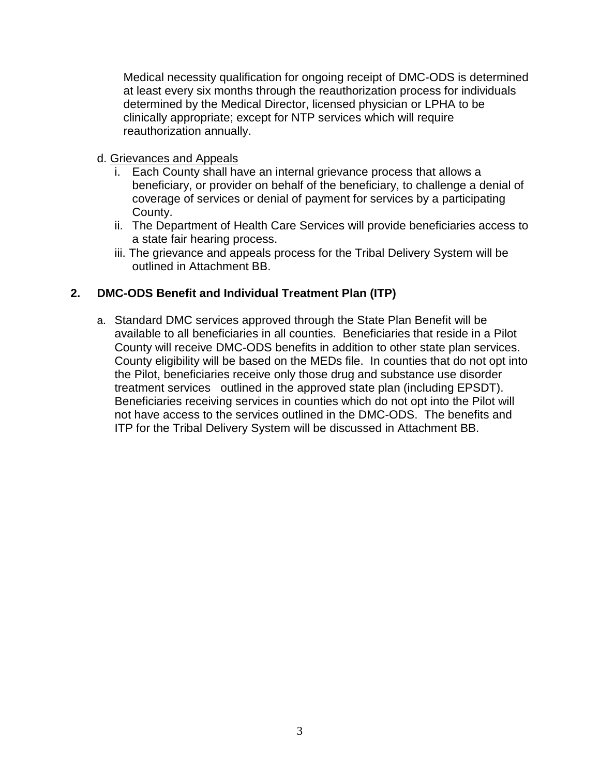Medical necessity qualification for ongoing receipt of DMC-ODS is determined at least every six months through the reauthorization process for individuals determined by the Medical Director, licensed physician or LPHA to be clinically appropriate; except for NTP services which will require reauthorization annually.

### d. Grievances and Appeals

- i. Each County shall have an internal grievance process that allows a beneficiary, or provider on behalf of the beneficiary, to challenge a denial of coverage of services or denial of payment for services by a participating County.
- ii. The Department of Health Care Services will provide beneficiaries access to a state fair hearing process.
- iii. The grievance and appeals process for the Tribal Delivery System will be outlined in Attachment BB.

# **2. DMC-ODS Benefit and Individual Treatment Plan (ITP)**

a. Standard DMC services approved through the State Plan Benefit will be available to all beneficiaries in all counties. Beneficiaries that reside in a Pilot County will receive DMC-ODS benefits in addition to other state plan services. County eligibility will be based on the MEDs file. In counties that do not opt into the Pilot, beneficiaries receive only those drug and substance use disorder treatment services outlined in the approved state plan (including EPSDT). Beneficiaries receiving services in counties which do not opt into the Pilot will not have access to the services outlined in the DMC-ODS. The benefits and ITP for the Tribal Delivery System will be discussed in Attachment BB.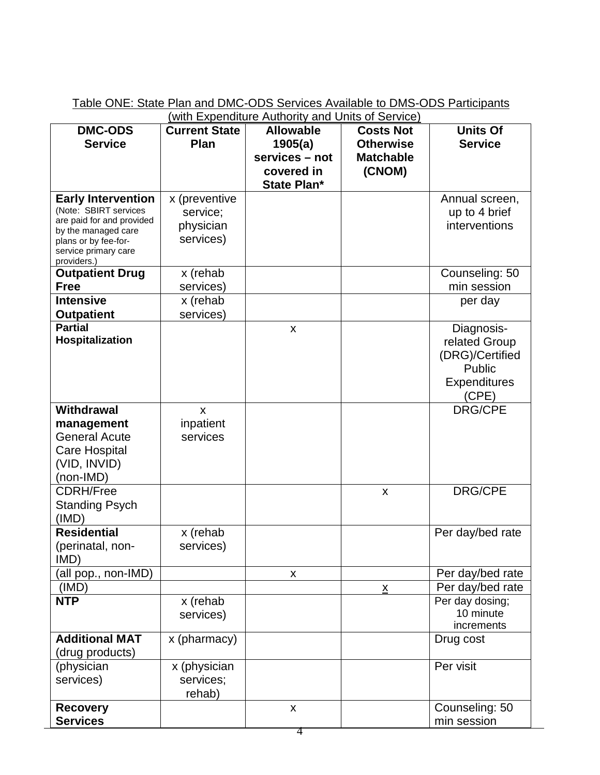|  | Table ONE: State Plan and DMC-ODS Services Available to DMS-ODS Participants                                                                                                                                                                                                                        |  |
|--|-----------------------------------------------------------------------------------------------------------------------------------------------------------------------------------------------------------------------------------------------------------------------------------------------------|--|
|  | $(i)$ in $\mathbb{E}$ $i$ $\mathbb{E}$ $j$ $\mathbb{E}$ $j$ $\mathbb{E}$ $k$ $\mathbb{E}$ $j$ $\mathbb{E}$ $k$ $\mathbb{E}$ $k$ $\mathbb{E}$ $k$ $\mathbb{E}$ $k$ $\mathbb{E}$ $k$ $\mathbb{E}$ $k$ $\mathbb{E}$ $k$ $\mathbb{E}$ $k$ $\mathbb{E}$ $k$ $\mathbb{E}$ $k$ $\mathbb{E}$ $k$ $\mathbb{$ |  |

|                                                                                                                                                                       | <u>(with Expenditure Authority and Units of Service)</u> |                                                                                   |                                                                    |                                                                                          |  |
|-----------------------------------------------------------------------------------------------------------------------------------------------------------------------|----------------------------------------------------------|-----------------------------------------------------------------------------------|--------------------------------------------------------------------|------------------------------------------------------------------------------------------|--|
| <b>DMC-ODS</b><br><b>Service</b>                                                                                                                                      | <b>Current State</b><br>Plan                             | <b>Allowable</b><br>1905(a)<br>services - not<br>covered in<br><b>State Plan*</b> | <b>Costs Not</b><br><b>Otherwise</b><br><b>Matchable</b><br>(CNOM) | <b>Units Of</b><br><b>Service</b>                                                        |  |
| <b>Early Intervention</b><br>(Note: SBIRT services<br>are paid for and provided<br>by the managed care<br>plans or by fee-for-<br>service primary care<br>providers.) | x (preventive<br>service;<br>physician<br>services)      |                                                                                   |                                                                    | Annual screen,<br>up to 4 brief<br>interventions                                         |  |
| <b>Outpatient Drug</b><br><b>Free</b>                                                                                                                                 | x (rehab<br>services)                                    |                                                                                   |                                                                    | Counseling: 50<br>min session                                                            |  |
| <b>Intensive</b><br><b>Outpatient</b>                                                                                                                                 | x (rehab<br>services)                                    |                                                                                   |                                                                    | per day                                                                                  |  |
| <b>Partial</b><br>Hospitalization                                                                                                                                     |                                                          | X                                                                                 |                                                                    | Diagnosis-<br>related Group<br>(DRG)/Certified<br>Public<br><b>Expenditures</b><br>(CPE) |  |
| <b>Withdrawal</b><br>management<br><b>General Acute</b><br><b>Care Hospital</b><br>(VID, INVID)<br>(non-IMD)                                                          | $\mathsf{x}$<br>inpatient<br>services                    |                                                                                   |                                                                    | <b>DRG/CPE</b>                                                                           |  |
| <b>CDRH/Free</b><br><b>Standing Psych</b><br>(IMD)                                                                                                                    |                                                          |                                                                                   | X                                                                  | <b>DRG/CPE</b>                                                                           |  |
| <b>Residential</b><br>(perinatal, non-<br>IMD)                                                                                                                        | x (rehab<br>services)                                    |                                                                                   |                                                                    | Per day/bed rate                                                                         |  |
| (all pop., non-IMD)                                                                                                                                                   |                                                          | $\pmb{\mathsf{X}}$                                                                |                                                                    | Per day/bed rate                                                                         |  |
| (IMD)                                                                                                                                                                 |                                                          |                                                                                   | $\underline{\mathsf{X}}$                                           | Per day/bed rate                                                                         |  |
| <b>NTP</b>                                                                                                                                                            | x (rehab<br>services)                                    |                                                                                   |                                                                    | Per day dosing;<br>10 minute<br>increments                                               |  |
| <b>Additional MAT</b><br>(drug products)                                                                                                                              | x (pharmacy)                                             |                                                                                   |                                                                    | Drug cost                                                                                |  |
| (physician<br>services)                                                                                                                                               | x (physician<br>services;<br>rehab)                      |                                                                                   |                                                                    | Per visit                                                                                |  |
| <b>Recovery</b><br><b>Services</b>                                                                                                                                    |                                                          | X                                                                                 |                                                                    | Counseling: 50<br>min session                                                            |  |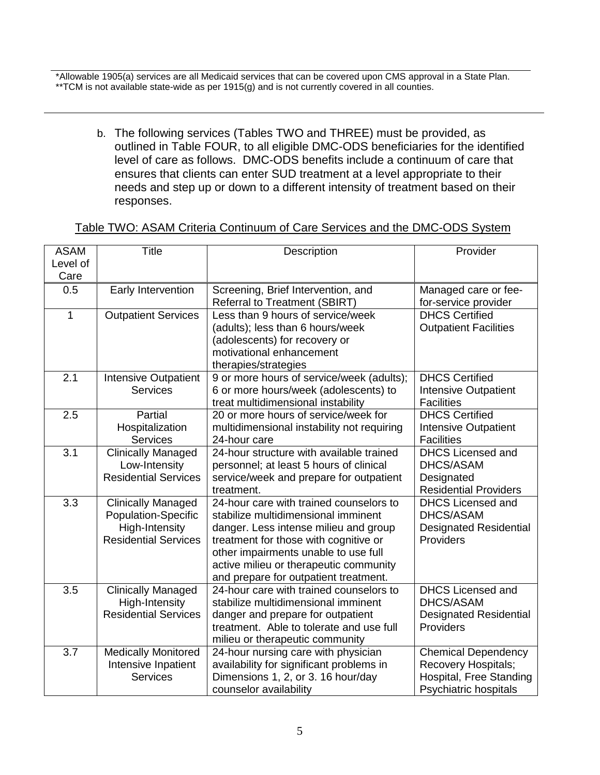\*Allowable 1905(a) services are all Medicaid services that can be covered upon CMS approval in a State Plan. \*\*TCM is not available state-wide as per 1915(g) and is not currently covered in all counties.

outlined in Table FOUR, to all eligible DMC-ODS beneficiaries for the identified b. The following services (Tables TWO and THREE) must be provided, as level of care as follows. DMC-ODS benefits include a continuum of care that ensures that clients can enter SUD treatment at a level appropriate to their needs and step up or down to a different intensity of treatment based on their responses.

### Table TWO: ASAM Criteria Continuum of Care Services and the DMC-ODS System

| <b>ASAM</b> | <b>Title</b>                                     | Description                                           | Provider                                                 |
|-------------|--------------------------------------------------|-------------------------------------------------------|----------------------------------------------------------|
| Level of    |                                                  |                                                       |                                                          |
| Care        |                                                  |                                                       |                                                          |
| 0.5         | Early Intervention                               | Screening, Brief Intervention, and                    | Managed care or fee-                                     |
|             |                                                  | <b>Referral to Treatment (SBIRT)</b>                  | for-service provider                                     |
| 1           | <b>Outpatient Services</b>                       | Less than 9 hours of service/week                     | <b>DHCS Certified</b>                                    |
|             |                                                  | (adults); less than 6 hours/week                      | <b>Outpatient Facilities</b>                             |
|             |                                                  | (adolescents) for recovery or                         |                                                          |
|             |                                                  | motivational enhancement                              |                                                          |
|             |                                                  | therapies/strategies                                  |                                                          |
| 2.1         | <b>Intensive Outpatient</b>                      | 9 or more hours of service/week (adults);             | <b>DHCS Certified</b>                                    |
|             | <b>Services</b>                                  | 6 or more hours/week (adolescents) to                 | Intensive Outpatient                                     |
|             |                                                  | treat multidimensional instability                    | <b>Facilities</b>                                        |
| 2.5         | Partial                                          | 20 or more hours of service/week for                  | <b>DHCS Certified</b>                                    |
|             | Hospitalization                                  | multidimensional instability not requiring            | Intensive Outpatient                                     |
|             | <b>Services</b>                                  | 24-hour care                                          | <b>Facilities</b>                                        |
| 3.1         | <b>Clinically Managed</b>                        | 24-hour structure with available trained              | <b>DHCS Licensed and</b>                                 |
|             | Low-Intensity                                    | personnel; at least 5 hours of clinical               | DHCS/ASAM                                                |
|             | <b>Residential Services</b>                      | service/week and prepare for outpatient               | Designated                                               |
|             |                                                  | treatment.<br>24-hour care with trained counselors to | <b>Residential Providers</b><br><b>DHCS Licensed and</b> |
| 3.3         | <b>Clinically Managed</b><br>Population-Specific | stabilize multidimensional imminent                   | DHCS/ASAM                                                |
|             | <b>High-Intensity</b>                            | danger. Less intense milieu and group                 | <b>Designated Residential</b>                            |
|             | <b>Residential Services</b>                      | treatment for those with cognitive or                 | Providers                                                |
|             |                                                  | other impairments unable to use full                  |                                                          |
|             |                                                  | active milieu or therapeutic community                |                                                          |
|             |                                                  | and prepare for outpatient treatment.                 |                                                          |
| 3.5         | <b>Clinically Managed</b>                        | 24-hour care with trained counselors to               | <b>DHCS Licensed and</b>                                 |
|             | <b>High-Intensity</b>                            | stabilize multidimensional imminent                   | DHCS/ASAM                                                |
|             | <b>Residential Services</b>                      | danger and prepare for outpatient                     | <b>Designated Residential</b>                            |
|             |                                                  | treatment. Able to tolerate and use full              | Providers                                                |
|             |                                                  | milieu or therapeutic community                       |                                                          |
| 3.7         | <b>Medically Monitored</b>                       | 24-hour nursing care with physician                   | <b>Chemical Dependency</b>                               |
|             | Intensive Inpatient                              | availability for significant problems in              | <b>Recovery Hospitals;</b>                               |
|             | <b>Services</b>                                  | Dimensions 1, 2, or 3. 16 hour/day                    | Hospital, Free Standing                                  |
|             |                                                  | counselor availability                                | Psychiatric hospitals                                    |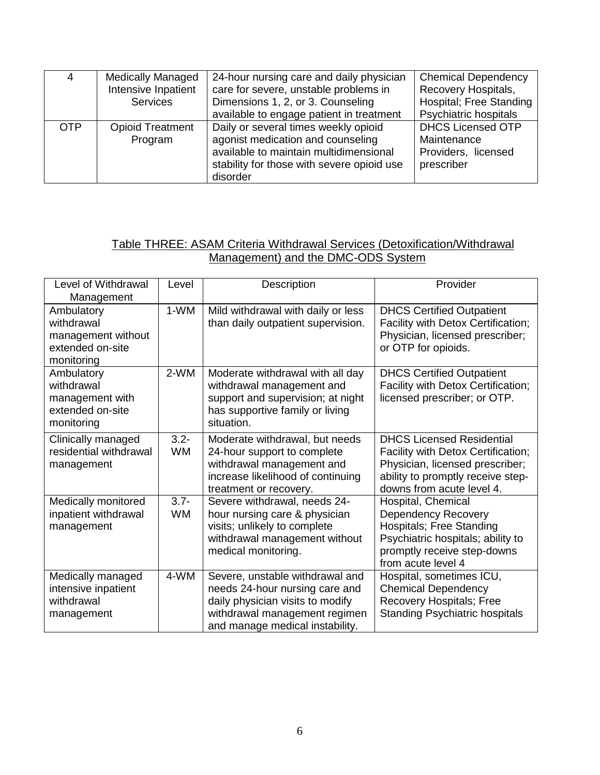|            | <b>Medically Managed</b> | 24-hour nursing care and daily physician   | <b>Chemical Dependency</b> |
|------------|--------------------------|--------------------------------------------|----------------------------|
|            | Intensive Inpatient      | care for severe, unstable problems in      | Recovery Hospitals,        |
|            | <b>Services</b>          | Dimensions 1, 2, or 3. Counseling          | Hospital; Free Standing    |
|            |                          | available to engage patient in treatment   | Psychiatric hospitals      |
| <b>OTP</b> | <b>Opioid Treatment</b>  | Daily or several times weekly opioid       | <b>DHCS Licensed OTP</b>   |
|            | Program                  | agonist medication and counseling          | Maintenance                |
|            |                          | available to maintain multidimensional     | Providers, licensed        |
|            |                          | stability for those with severe opioid use | prescriber                 |
|            |                          | disorder                                   |                            |

### Table THREE: ASAM Criteria Withdrawal Services (Detoxification/Withdrawal Management) and the DMC-ODS System

| Level of Withdrawal<br>Management                                                | Level                | Description                                                                                                                                                               | Provider                                                                                                                                                                    |
|----------------------------------------------------------------------------------|----------------------|---------------------------------------------------------------------------------------------------------------------------------------------------------------------------|-----------------------------------------------------------------------------------------------------------------------------------------------------------------------------|
| Ambulatory<br>withdrawal<br>management without<br>extended on-site<br>monitoring | 1-WM                 | Mild withdrawal with daily or less<br>than daily outpatient supervision.                                                                                                  | <b>DHCS Certified Outpatient</b><br>Facility with Detox Certification;<br>Physician, licensed prescriber;<br>or OTP for opioids.                                            |
| Ambulatory<br>withdrawal<br>management with<br>extended on-site<br>monitoring    | 2-WM                 | Moderate withdrawal with all day<br>withdrawal management and<br>support and supervision; at night<br>has supportive family or living<br>situation.                       | <b>DHCS Certified Outpatient</b><br>Facility with Detox Certification;<br>licensed prescriber; or OTP.                                                                      |
| Clinically managed<br>residential withdrawal<br>management                       | $3.2 -$<br><b>WM</b> | Moderate withdrawal, but needs<br>24-hour support to complete<br>withdrawal management and<br>increase likelihood of continuing<br>treatment or recovery.                 | <b>DHCS Licensed Residential</b><br>Facility with Detox Certification;<br>Physician, licensed prescriber;<br>ability to promptly receive step-<br>downs from acute level 4. |
| Medically monitored<br>inpatient withdrawal<br>management                        | $3.7 -$<br><b>WM</b> | Severe withdrawal, needs 24-<br>hour nursing care & physician<br>visits; unlikely to complete<br>withdrawal management without<br>medical monitoring.                     | Hospital, Chemical<br><b>Dependency Recovery</b><br>Hospitals; Free Standing<br>Psychiatric hospitals; ability to<br>promptly receive step-downs<br>from acute level 4      |
| Medically managed<br>intensive inpatient<br>withdrawal<br>management             | 4-WM                 | Severe, unstable withdrawal and<br>needs 24-hour nursing care and<br>daily physician visits to modify<br>withdrawal management regimen<br>and manage medical instability. | Hospital, sometimes ICU,<br><b>Chemical Dependency</b><br>Recovery Hospitals; Free<br><b>Standing Psychiatric hospitals</b>                                                 |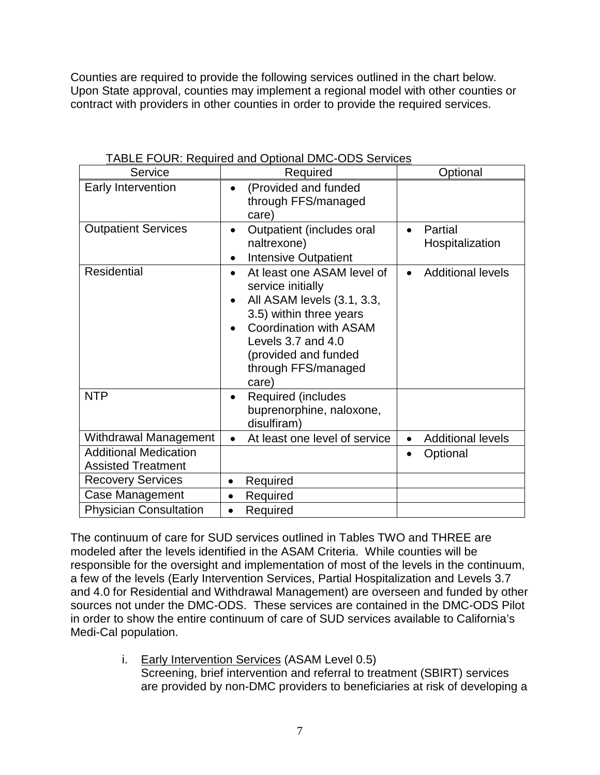Counties are required to provide the following services outlined in the chart below. Upon State approval, counties may implement a regional model with other counties or contract with providers in other counties in order to provide the required services.

| Service                                                   | Required                                                                                                                                                                                                                | Optional                                |
|-----------------------------------------------------------|-------------------------------------------------------------------------------------------------------------------------------------------------------------------------------------------------------------------------|-----------------------------------------|
| Early Intervention                                        | (Provided and funded<br>through FFS/managed<br>care)                                                                                                                                                                    |                                         |
| <b>Outpatient Services</b>                                | Outpatient (includes oral<br>naltrexone)<br><b>Intensive Outpatient</b>                                                                                                                                                 | Partial<br>$\bullet$<br>Hospitalization |
| <b>Residential</b>                                        | At least one ASAM level of<br>service initially<br>All ASAM levels (3.1, 3.3,<br>3.5) within three years<br><b>Coordination with ASAM</b><br>Levels 3.7 and 4.0<br>(provided and funded<br>through FFS/managed<br>care) | <b>Additional levels</b>                |
| <b>NTP</b>                                                | <b>Required (includes</b><br>buprenorphine, naloxone,<br>disulfiram)                                                                                                                                                    |                                         |
| Withdrawal Management                                     | At least one level of service                                                                                                                                                                                           | <b>Additional levels</b><br>$\bullet$   |
| <b>Additional Medication</b><br><b>Assisted Treatment</b> |                                                                                                                                                                                                                         | Optional                                |
| <b>Recovery Services</b>                                  | Required<br>$\bullet$                                                                                                                                                                                                   |                                         |
| Case Management                                           | Required<br>$\bullet$                                                                                                                                                                                                   |                                         |
| <b>Physician Consultation</b>                             | Required                                                                                                                                                                                                                |                                         |

TABLE FOUR: Required and Optional DMC-ODS Services

The continuum of care for SUD services outlined in Tables TWO and THREE are modeled after the levels identified in the ASAM Criteria. While counties will be responsible for the oversight and implementation of most of the levels in the continuum, a few of the levels (Early Intervention Services, Partial Hospitalization and Levels 3.7 and 4.0 for Residential and Withdrawal Management) are overseen and funded by other sources not under the DMC-ODS. These services are contained in the DMC-ODS Pilot in order to show the entire continuum of care of SUD services available to California's Medi-Cal population.

> i. Early Intervention Services (ASAM Level 0.5) Screening, brief intervention and referral to treatment (SBIRT) services are provided by non-DMC providers to beneficiaries at risk of developing a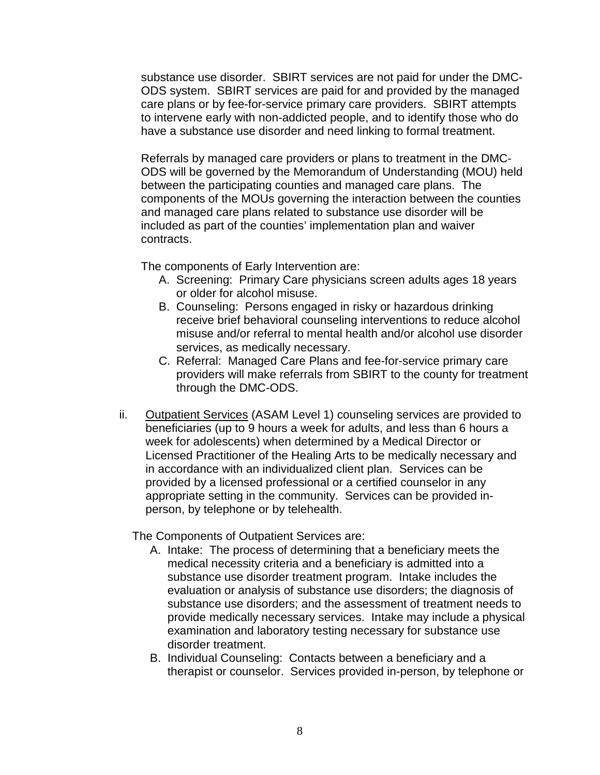substance use disorder. SBIRT services are not paid for under the DMC-ODS system. SBIRT services are paid for and provided by the managed care plans or by fee-for-service primary care providers. SBIRT attempts to intervene early with non-addicted people, and to identify those who do have a substance use disorder and need linking to formal treatment.

Referrals by managed care providers or plans to treatment in the DMC-ODS will be governed by the Memorandum of Understanding (MOU) held between the participating counties and managed care plans. The components of the MOUs governing the interaction between the counties and managed care plans related to substance use disorder will be included as part of the counties' implementation plan and waiver contracts.

The components of Early Intervention are:

- A. Screening: Primary Care physicians screen adults ages 18 years or older for alcohol misuse.
- B. Counseling: Persons engaged in risky or hazardous drinking receive brief behavioral counseling interventions to reduce alcohol misuse and/or referral to mental health and/or alcohol use disorder services, as medically necessary.
- C. Referral: Managed Care Plans and fee-for-service primary care providers will make referrals from SBIRT to the county for treatment through the DMC-ODS.
- ii. Outpatient Services (ASAM Level 1) counseling services are provided to beneficiaries (up to 9 hours a week for adults, and less than 6 hours a week for adolescents) when determined by a Medical Director or Licensed Practitioner of the Healing Arts to be medically necessary and in accordance with an individualized client plan. Services can be provided by a licensed professional or a certified counselor in any appropriate setting in the community. Services can be provided inperson, by telephone or by telehealth.

The Components of Outpatient Services are:

- A. Intake: The process of determining that a beneficiary meets the medical necessity criteria and a beneficiary is admitted into a substance use disorder treatment program. Intake includes the evaluation or analysis of substance use disorders; the diagnosis of substance use disorders; and the assessment of treatment needs to provide medically necessary services. Intake may include a physical examination and laboratory testing necessary for substance use disorder treatment.
- B. Individual Counseling: Contacts between a beneficiary and a therapist or counselor. Services provided in-person, by telephone or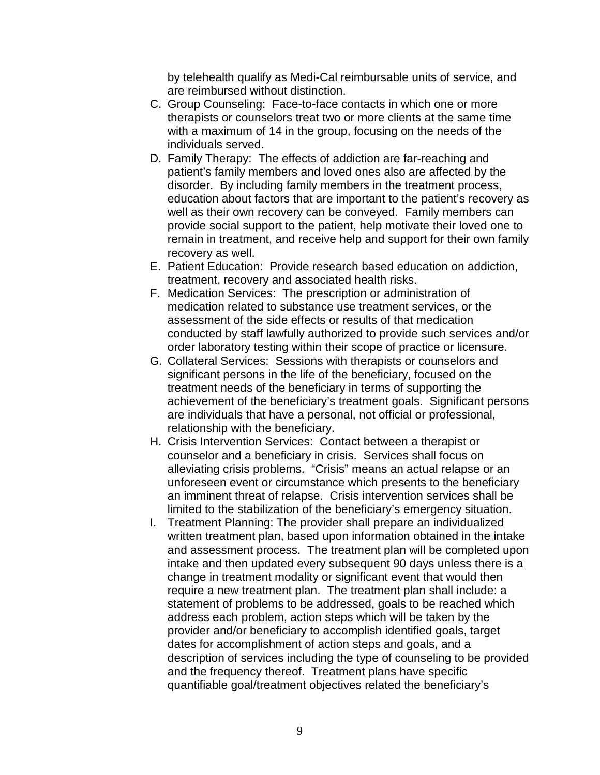by telehealth qualify as Medi-Cal reimbursable units of service, and are reimbursed without distinction.

- C. Group Counseling: Face-to-face contacts in which one or more therapists or counselors treat two or more clients at the same time with a maximum of 14 in the group, focusing on the needs of the individuals served.
- D. Family Therapy: The effects of addiction are far-reaching and patient's family members and loved ones also are affected by the disorder. By including family members in the treatment process, education about factors that are important to the patient's recovery as well as their own recovery can be conveyed. Family members can provide social support to the patient, help motivate their loved one to remain in treatment, and receive help and support for their own family recovery as well.
- E. Patient Education: Provide research based education on addiction, treatment, recovery and associated health risks.
- F. Medication Services: The prescription or administration of medication related to substance use treatment services, or the assessment of the side effects or results of that medication conducted by staff lawfully authorized to provide such services and/or order laboratory testing within their scope of practice or licensure.
- G. Collateral Services: Sessions with therapists or counselors and significant persons in the life of the beneficiary, focused on the treatment needs of the beneficiary in terms of supporting the achievement of the beneficiary's treatment goals. Significant persons are individuals that have a personal, not official or professional, relationship with the beneficiary.
- H. Crisis Intervention Services: Contact between a therapist or counselor and a beneficiary in crisis. Services shall focus on alleviating crisis problems. "Crisis" means an actual relapse or an unforeseen event or circumstance which presents to the beneficiary an imminent threat of relapse. Crisis intervention services shall be limited to the stabilization of the beneficiary's emergency situation.
- I. Treatment Planning: The provider shall prepare an individualized written treatment plan, based upon information obtained in the intake and assessment process. The treatment plan will be completed upon intake and then updated every subsequent 90 days unless there is a change in treatment modality or significant event that would then require a new treatment plan. The treatment plan shall include: a statement of problems to be addressed, goals to be reached which address each problem, action steps which will be taken by the provider and/or beneficiary to accomplish identified goals, target dates for accomplishment of action steps and goals, and a description of services including the type of counseling to be provided and the frequency thereof. Treatment plans have specific quantifiable goal/treatment objectives related the beneficiary's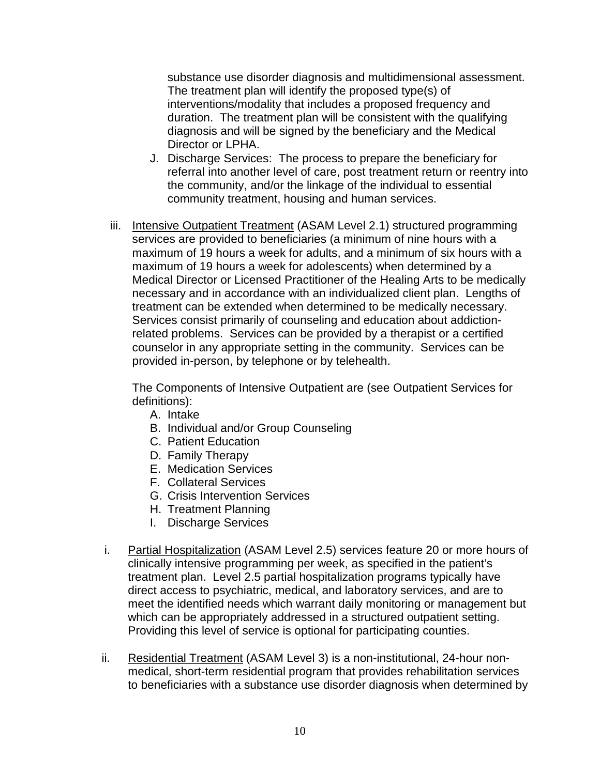substance use disorder diagnosis and multidimensional assessment. The treatment plan will identify the proposed type(s) of interventions/modality that includes a proposed frequency and duration. The treatment plan will be consistent with the qualifying diagnosis and will be signed by the beneficiary and the Medical Director or LPHA.

- J. Discharge Services: The process to prepare the beneficiary for referral into another level of care, post treatment return or reentry into the community, and/or the linkage of the individual to essential community treatment, housing and human services.
- iii. Intensive Outpatient Treatment (ASAM Level 2.1) structured programming services are provided to beneficiaries (a minimum of nine hours with a maximum of 19 hours a week for adults, and a minimum of six hours with a maximum of 19 hours a week for adolescents) when determined by a Medical Director or Licensed Practitioner of the Healing Arts to be medically necessary and in accordance with an individualized client plan. Lengths of treatment can be extended when determined to be medically necessary. Services consist primarily of counseling and education about addictionrelated problems. Services can be provided by a therapist or a certified counselor in any appropriate setting in the community. Services can be provided in-person, by telephone or by telehealth.

The Components of Intensive Outpatient are (see Outpatient Services for definitions):

- A. Intake
- B. Individual and/or Group Counseling
- C. Patient Education
- D. Family Therapy
- E. Medication Services
- F. Collateral Services
- G. Crisis Intervention Services
- H. Treatment Planning
- I. Discharge Services
- i. Partial Hospitalization (ASAM Level 2.5) services feature 20 or more hours of clinically intensive programming per week, as specified in the patient's treatment plan. Level 2.5 partial hospitalization programs typically have direct access to psychiatric, medical, and laboratory services, and are to meet the identified needs which warrant daily monitoring or management but which can be appropriately addressed in a structured outpatient setting. Providing this level of service is optional for participating counties.
- ii. Residential Treatment (ASAM Level 3) is a non-institutional, 24-hour nonmedical, short-term residential program that provides rehabilitation services to beneficiaries with a substance use disorder diagnosis when determined by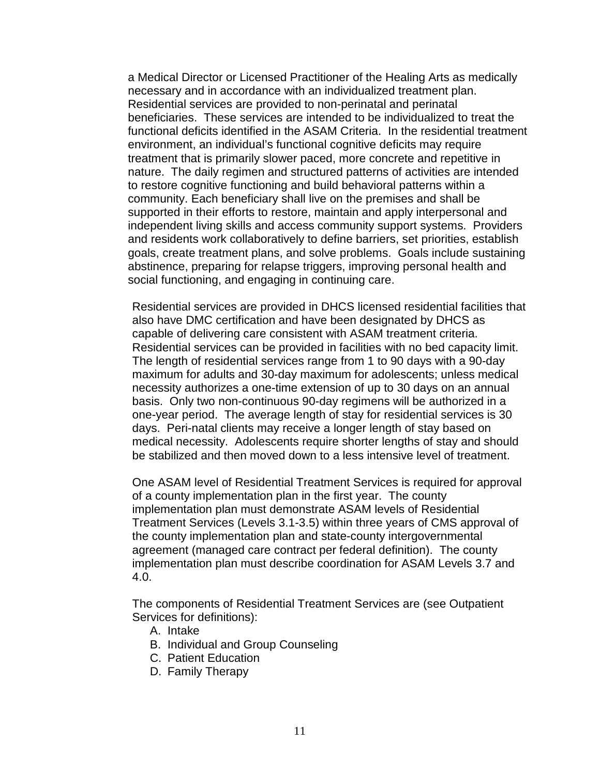a Medical Director or Licensed Practitioner of the Healing Arts as medically necessary and in accordance with an individualized treatment plan. Residential services are provided to non-perinatal and perinatal beneficiaries. These services are intended to be individualized to treat the functional deficits identified in the ASAM Criteria. In the residential treatment environment, an individual's functional cognitive deficits may require treatment that is primarily slower paced, more concrete and repetitive in nature. The daily regimen and structured patterns of activities are intended to restore cognitive functioning and build behavioral patterns within a community. Each beneficiary shall live on the premises and shall be supported in their efforts to restore, maintain and apply interpersonal and independent living skills and access community support systems. Providers and residents work collaboratively to define barriers, set priorities, establish goals, create treatment plans, and solve problems. Goals include sustaining abstinence, preparing for relapse triggers, improving personal health and social functioning, and engaging in continuing care.

Residential services are provided in DHCS licensed residential facilities that also have DMC certification and have been designated by DHCS as capable of delivering care consistent with ASAM treatment criteria. Residential services can be provided in facilities with no bed capacity limit. The length of residential services range from 1 to 90 days with a 90-day maximum for adults and 30-day maximum for adolescents; unless medical necessity authorizes a one-time extension of up to 30 days on an annual basis. Only two non-continuous 90-day regimens will be authorized in a one-year period. The average length of stay for residential services is 30 days. Peri-natal clients may receive a longer length of stay based on medical necessity. Adolescents require shorter lengths of stay and should be stabilized and then moved down to a less intensive level of treatment.

One ASAM level of Residential Treatment Services is required for approval of a county implementation plan in the first year. The county implementation plan must demonstrate ASAM levels of Residential Treatment Services (Levels 3.1-3.5) within three years of CMS approval of the county implementation plan and state-county intergovernmental agreement (managed care contract per federal definition). The county implementation plan must describe coordination for ASAM Levels 3.7 and 4.0.

The components of Residential Treatment Services are (see Outpatient Services for definitions):

- A. Intake
- B. Individual and Group Counseling
- C. Patient Education
- D. Family Therapy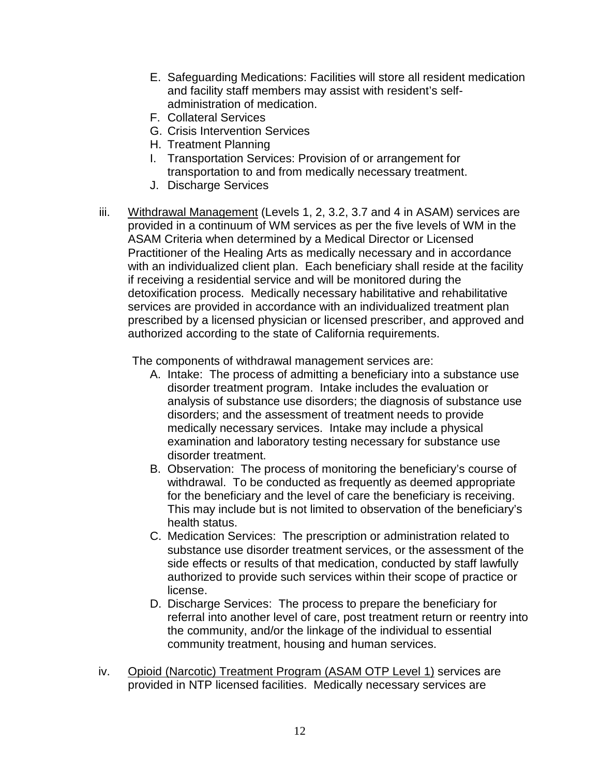- E. Safeguarding Medications: Facilities will store all resident medication and facility staff members may assist with resident's selfadministration of medication.
- F. Collateral Services
- G. Crisis Intervention Services
- H. Treatment Planning
- I. Transportation Services: Provision of or arrangement for transportation to and from medically necessary treatment.
- J. Discharge Services
- iii. Withdrawal Management (Levels 1, 2, 3.2, 3.7 and 4 in ASAM) services are provided in a continuum of WM services as per the five levels of WM in the ASAM Criteria when determined by a Medical Director or Licensed Practitioner of the Healing Arts as medically necessary and in accordance with an individualized client plan. Each beneficiary shall reside at the facility if receiving a residential service and will be monitored during the detoxification process. Medically necessary habilitative and rehabilitative services are provided in accordance with an individualized treatment plan prescribed by a licensed physician or licensed prescriber, and approved and authorized according to the state of California requirements.

The components of withdrawal management services are:

- A. Intake: The process of admitting a beneficiary into a substance use disorder treatment program. Intake includes the evaluation or analysis of substance use disorders; the diagnosis of substance use disorders; and the assessment of treatment needs to provide medically necessary services. Intake may include a physical examination and laboratory testing necessary for substance use disorder treatment.
- B. Observation: The process of monitoring the beneficiary's course of withdrawal. To be conducted as frequently as deemed appropriate for the beneficiary and the level of care the beneficiary is receiving. This may include but is not limited to observation of the beneficiary's health status.
- C. Medication Services: The prescription or administration related to substance use disorder treatment services, or the assessment of the side effects or results of that medication, conducted by staff lawfully authorized to provide such services within their scope of practice or license.
- D. Discharge Services: The process to prepare the beneficiary for referral into another level of care, post treatment return or reentry into the community, and/or the linkage of the individual to essential community treatment, housing and human services.
- iv. Opioid (Narcotic) Treatment Program (ASAM OTP Level 1) services are provided in NTP licensed facilities. Medically necessary services are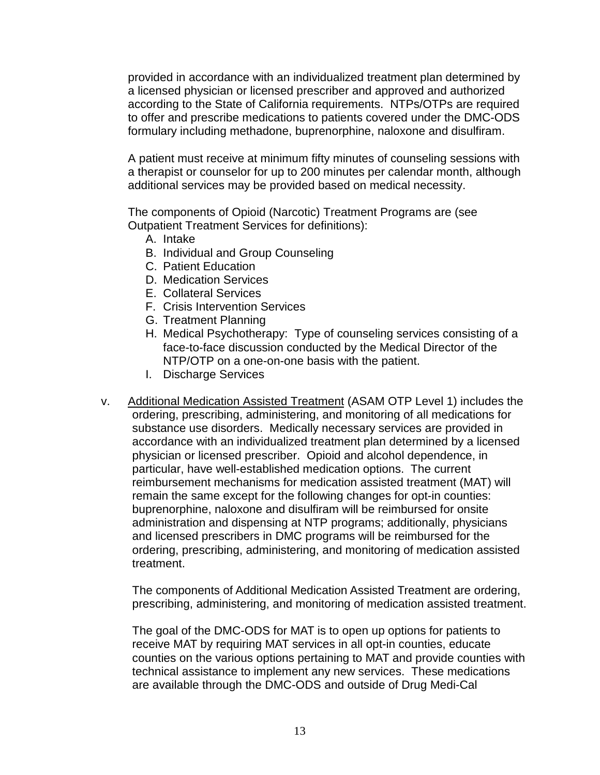provided in accordance with an individualized treatment plan determined by a licensed physician or licensed prescriber and approved and authorized according to the State of California requirements. NTPs/OTPs are required to offer and prescribe medications to patients covered under the DMC-ODS formulary including methadone, buprenorphine, naloxone and disulfiram.

A patient must receive at minimum fifty minutes of counseling sessions with a therapist or counselor for up to 200 minutes per calendar month, although additional services may be provided based on medical necessity.

The components of Opioid (Narcotic) Treatment Programs are (see Outpatient Treatment Services for definitions):

- A. Intake
- B. Individual and Group Counseling
- C. Patient Education
- D. Medication Services
- E. Collateral Services
- F. Crisis Intervention Services
- G. Treatment Planning
- H. Medical Psychotherapy: Type of counseling services consisting of a face-to-face discussion conducted by the Medical Director of the NTP/OTP on a one-on-one basis with the patient.
- I. Discharge Services
- v. Additional Medication Assisted Treatment (ASAM OTP Level 1) includes the ordering, prescribing, administering, and monitoring of all medications for substance use disorders. Medically necessary services are provided in accordance with an individualized treatment plan determined by a licensed physician or licensed prescriber. Opioid and alcohol dependence, in particular, have well-established medication options. The current reimbursement mechanisms for medication assisted treatment (MAT) will remain the same except for the following changes for opt-in counties: buprenorphine, naloxone and disulfiram will be reimbursed for onsite administration and dispensing at NTP programs; additionally, physicians and licensed prescribers in DMC programs will be reimbursed for the ordering, prescribing, administering, and monitoring of medication assisted treatment.

The components of Additional Medication Assisted Treatment are ordering, prescribing, administering, and monitoring of medication assisted treatment.

The goal of the DMC-ODS for MAT is to open up options for patients to receive MAT by requiring MAT services in all opt-in counties, educate counties on the various options pertaining to MAT and provide counties with technical assistance to implement any new services. These medications are available through the DMC-ODS and outside of Drug Medi-Cal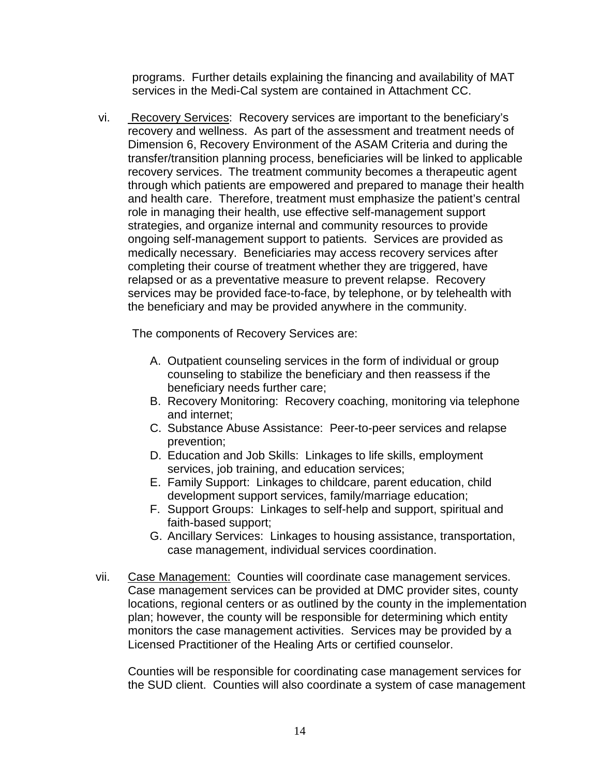programs. Further details explaining the financing and availability of MAT services in the Medi-Cal system are contained in Attachment CC.

vi. Recovery Services: Recovery services are important to the beneficiary's recovery and wellness. As part of the assessment and treatment needs of Dimension 6, Recovery Environment of the ASAM Criteria and during the transfer/transition planning process, beneficiaries will be linked to applicable recovery services. The treatment community becomes a therapeutic agent through which patients are empowered and prepared to manage their health and health care. Therefore, treatment must emphasize the patient's central role in managing their health, use effective self-management support strategies, and organize internal and community resources to provide ongoing self-management support to patients. Services are provided as medically necessary. Beneficiaries may access recovery services after completing their course of treatment whether they are triggered, have relapsed or as a preventative measure to prevent relapse. Recovery services may be provided face-to-face, by telephone, or by telehealth with the beneficiary and may be provided anywhere in the community.

The components of Recovery Services are:

- A. Outpatient counseling services in the form of individual or group counseling to stabilize the beneficiary and then reassess if the beneficiary needs further care;
- B. Recovery Monitoring: Recovery coaching, monitoring via telephone and internet;
- C. Substance Abuse Assistance: Peer-to-peer services and relapse prevention;
- D. Education and Job Skills: Linkages to life skills, employment services, job training, and education services;
- E. Family Support: Linkages to childcare, parent education, child development support services, family/marriage education;
- F. Support Groups: Linkages to self-help and support, spiritual and faith-based support;
- G. Ancillary Services: Linkages to housing assistance, transportation, case management, individual services coordination.
- vii. Case Management: Counties will coordinate case management services. Case management services can be provided at DMC provider sites, county locations, regional centers or as outlined by the county in the implementation plan; however, the county will be responsible for determining which entity monitors the case management activities. Services may be provided by a Licensed Practitioner of the Healing Arts or certified counselor.

Counties will be responsible for coordinating case management services for the SUD client. Counties will also coordinate a system of case management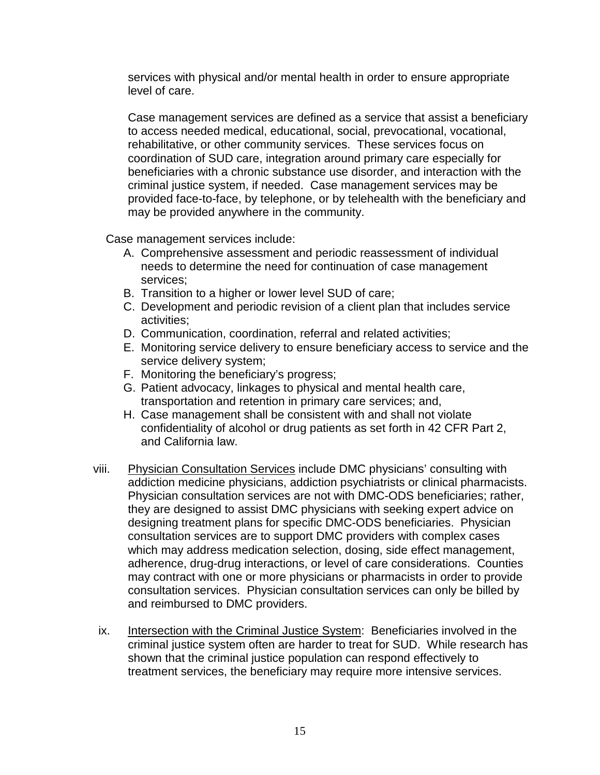services with physical and/or mental health in order to ensure appropriate level of care.

Case management services are defined as a service that assist a beneficiary to access needed medical, educational, social, prevocational, vocational, rehabilitative, or other community services. These services focus on coordination of SUD care, integration around primary care especially for beneficiaries with a chronic substance use disorder, and interaction with the criminal justice system, if needed. Case management services may be provided face-to-face, by telephone, or by telehealth with the beneficiary and may be provided anywhere in the community.

Case management services include:

- A. Comprehensive assessment and periodic reassessment of individual needs to determine the need for continuation of case management services;
- B. Transition to a higher or lower level SUD of care;
- C. Development and periodic revision of a client plan that includes service activities;
- D. Communication, coordination, referral and related activities;
- E. Monitoring service delivery to ensure beneficiary access to service and the service delivery system;
- F. Monitoring the beneficiary's progress;
- G. Patient advocacy, linkages to physical and mental health care, transportation and retention in primary care services; and,
- H. Case management shall be consistent with and shall not violate confidentiality of alcohol or drug patients as set forth in 42 CFR Part 2, and California law.
- viii. Physician Consultation Services include DMC physicians' consulting with addiction medicine physicians, addiction psychiatrists or clinical pharmacists. Physician consultation services are not with DMC-ODS beneficiaries; rather, they are designed to assist DMC physicians with seeking expert advice on designing treatment plans for specific DMC-ODS beneficiaries. Physician consultation services are to support DMC providers with complex cases which may address medication selection, dosing, side effect management, adherence, drug-drug interactions, or level of care considerations. Counties may contract with one or more physicians or pharmacists in order to provide consultation services. Physician consultation services can only be billed by and reimbursed to DMC providers.
- ix. Intersection with the Criminal Justice System: Beneficiaries involved in the criminal justice system often are harder to treat for SUD. While research has shown that the criminal justice population can respond effectively to treatment services, the beneficiary may require more intensive services.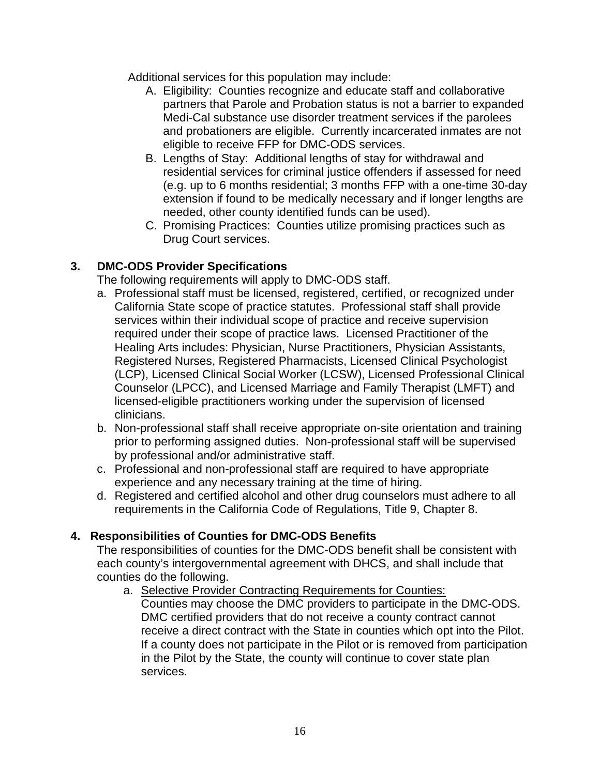Additional services for this population may include:

- A. Eligibility: Counties recognize and educate staff and collaborative partners that Parole and Probation status is not a barrier to expanded Medi-Cal substance use disorder treatment services if the parolees and probationers are eligible. Currently incarcerated inmates are not eligible to receive FFP for DMC-ODS services.
- B. Lengths of Stay: Additional lengths of stay for withdrawal and residential services for criminal justice offenders if assessed for need (e.g. up to 6 months residential; 3 months FFP with a one-time 30-day extension if found to be medically necessary and if longer lengths are needed, other county identified funds can be used).
- C. Promising Practices: Counties utilize promising practices such as Drug Court services.

# **3. DMC-ODS Provider Specifications**

The following requirements will apply to DMC-ODS staff.

- a. Professional staff must be licensed, registered, certified, or recognized under California State scope of practice statutes. Professional staff shall provide services within their individual scope of practice and receive supervision required under their scope of practice laws. Licensed Practitioner of the Healing Arts includes: Physician, Nurse Practitioners, Physician Assistants, Registered Nurses, Registered Pharmacists, Licensed Clinical Psychologist (LCP), Licensed Clinical Social Worker (LCSW), Licensed Professional Clinical Counselor (LPCC), and Licensed Marriage and Family Therapist (LMFT) and licensed-eligible practitioners working under the supervision of licensed clinicians.
- b. Non-professional staff shall receive appropriate on-site orientation and training prior to performing assigned duties. Non-professional staff will be supervised by professional and/or administrative staff.
- c. Professional and non-professional staff are required to have appropriate experience and any necessary training at the time of hiring.
- d. Registered and certified alcohol and other drug counselors must adhere to all requirements in the California Code of Regulations, Title 9, Chapter 8.

## **4. Responsibilities of Counties for DMC-ODS Benefits**

The responsibilities of counties for the DMC-ODS benefit shall be consistent with each county's intergovernmental agreement with DHCS, and shall include that counties do the following.

a. Selective Provider Contracting Requirements for Counties: Counties may choose the DMC providers to participate in the DMC-ODS. DMC certified providers that do not receive a county contract cannot receive a direct contract with the State in counties which opt into the Pilot. If a county does not participate in the Pilot or is removed from participation in the Pilot by the State, the county will continue to cover state plan services.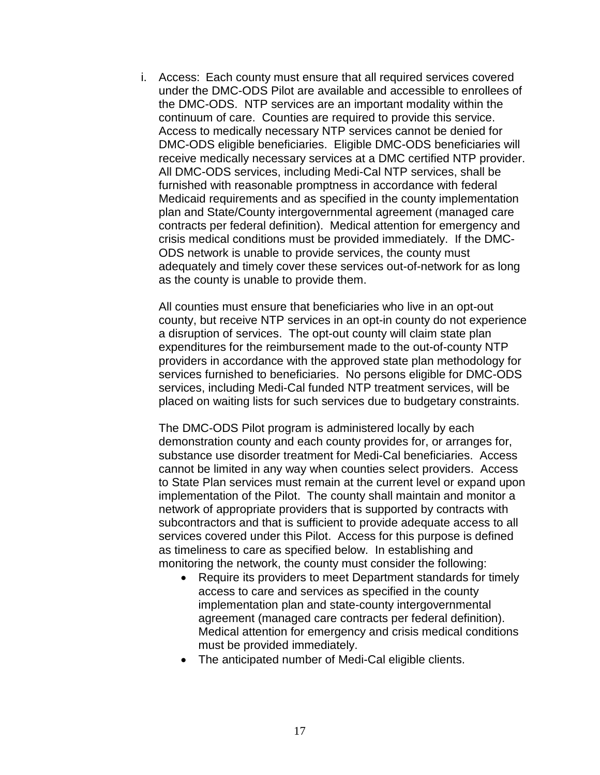i. Access: Each county must ensure that all required services covered under the DMC-ODS Pilot are available and accessible to enrollees of the DMC-ODS. NTP services are an important modality within the continuum of care. Counties are required to provide this service. Access to medically necessary NTP services cannot be denied for DMC-ODS eligible beneficiaries. Eligible DMC-ODS beneficiaries will receive medically necessary services at a DMC certified NTP provider. All DMC-ODS services, including Medi-Cal NTP services, shall be furnished with reasonable promptness in accordance with federal Medicaid requirements and as specified in the county implementation plan and State/County intergovernmental agreement (managed care contracts per federal definition). Medical attention for emergency and crisis medical conditions must be provided immediately. If the DMC-ODS network is unable to provide services, the county must adequately and timely cover these services out-of-network for as long as the county is unable to provide them.

All counties must ensure that beneficiaries who live in an opt-out county, but receive NTP services in an opt-in county do not experience a disruption of services. The opt-out county will claim state plan expenditures for the reimbursement made to the out-of-county NTP providers in accordance with the approved state plan methodology for services furnished to beneficiaries. No persons eligible for DMC-ODS services, including Medi-Cal funded NTP treatment services, will be placed on waiting lists for such services due to budgetary constraints.

The DMC-ODS Pilot program is administered locally by each demonstration county and each county provides for, or arranges for, substance use disorder treatment for Medi-Cal beneficiaries. Access cannot be limited in any way when counties select providers. Access to State Plan services must remain at the current level or expand upon implementation of the Pilot. The county shall maintain and monitor a network of appropriate providers that is supported by contracts with subcontractors and that is sufficient to provide adequate access to all services covered under this Pilot. Access for this purpose is defined as timeliness to care as specified below. In establishing and monitoring the network, the county must consider the following:

- Require its providers to meet Department standards for timely access to care and services as specified in the county implementation plan and state-county intergovernmental agreement (managed care contracts per federal definition). Medical attention for emergency and crisis medical conditions must be provided immediately.
- The anticipated number of Medi-Cal eligible clients.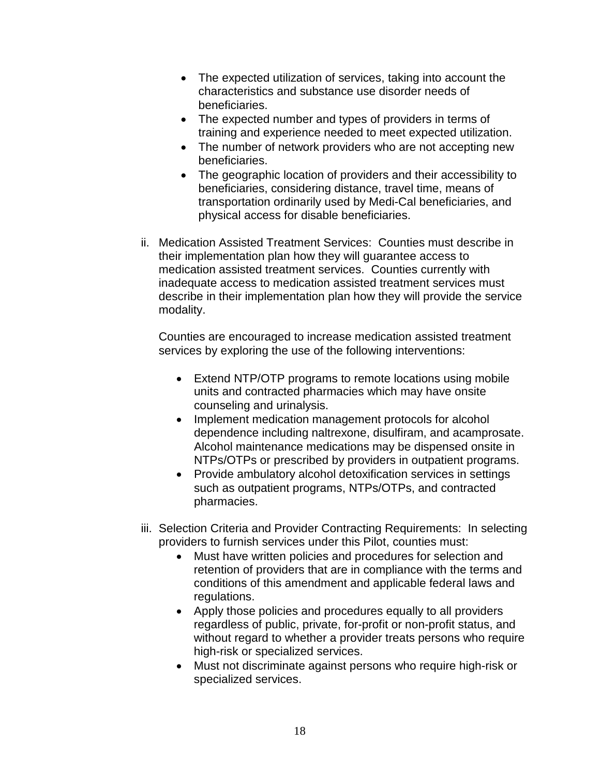- The expected utilization of services, taking into account the characteristics and substance use disorder needs of beneficiaries.
- The expected number and types of providers in terms of training and experience needed to meet expected utilization.
- The number of network providers who are not accepting new beneficiaries.
- The geographic location of providers and their accessibility to beneficiaries, considering distance, travel time, means of transportation ordinarily used by Medi-Cal beneficiaries, and physical access for disable beneficiaries.
- ii. Medication Assisted Treatment Services: Counties must describe in their implementation plan how they will guarantee access to medication assisted treatment services. Counties currently with inadequate access to medication assisted treatment services must describe in their implementation plan how they will provide the service modality.

Counties are encouraged to increase medication assisted treatment services by exploring the use of the following interventions:

- Extend NTP/OTP programs to remote locations using mobile units and contracted pharmacies which may have onsite counseling and urinalysis.
- Implement medication management protocols for alcohol dependence including naltrexone, disulfiram, and acamprosate. Alcohol maintenance medications may be dispensed onsite in NTPs/OTPs or prescribed by providers in outpatient programs.
- Provide ambulatory alcohol detoxification services in settings such as outpatient programs, NTPs/OTPs, and contracted pharmacies.
- iii. Selection Criteria and Provider Contracting Requirements: In selecting providers to furnish services under this Pilot, counties must:
	- Must have written policies and procedures for selection and retention of providers that are in compliance with the terms and conditions of this amendment and applicable federal laws and regulations.
	- Apply those policies and procedures equally to all providers regardless of public, private, for-profit or non-profit status, and without regard to whether a provider treats persons who require high-risk or specialized services.
	- Must not discriminate against persons who require high-risk or specialized services.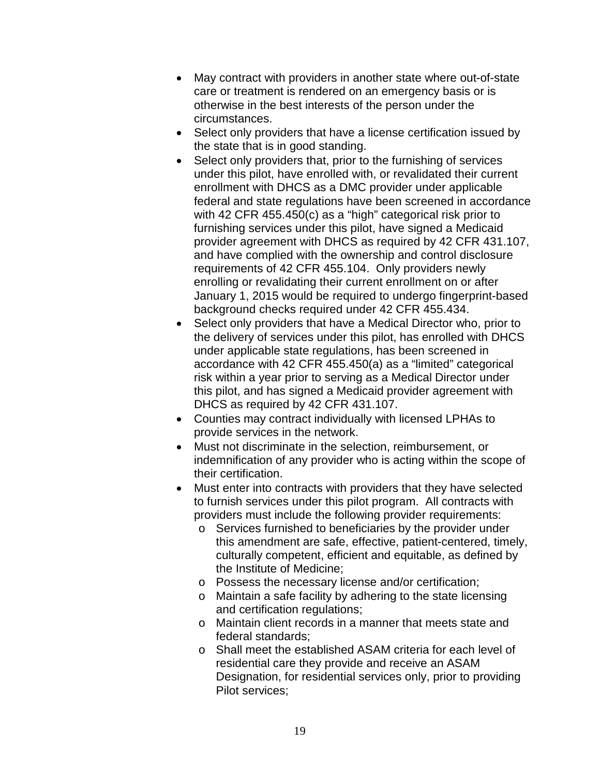- May contract with providers in another state where out-of-state care or treatment is rendered on an emergency basis or is otherwise in the best interests of the person under the circumstances.
- Select only providers that have a license certification issued by the state that is in good standing.
- Select only providers that, prior to the furnishing of services under this pilot, have enrolled with, or revalidated their current enrollment with DHCS as a DMC provider under applicable federal and state regulations have been screened in accordance with 42 CFR 455.450(c) as a "high" categorical risk prior to furnishing services under this pilot, have signed a Medicaid provider agreement with DHCS as required by 42 CFR 431.107, and have complied with the ownership and control disclosure requirements of 42 CFR 455.104. Only providers newly enrolling or revalidating their current enrollment on or after January 1, 2015 would be required to undergo fingerprint-based background checks required under 42 CFR 455.434.
- Select only providers that have a Medical Director who, prior to the delivery of services under this pilot, has enrolled with DHCS under applicable state regulations, has been screened in accordance with 42 CFR 455.450(a) as a "limited" categorical risk within a year prior to serving as a Medical Director under this pilot, and has signed a Medicaid provider agreement with DHCS as required by 42 CFR 431.107.
- Counties may contract individually with licensed LPHAs to provide services in the network.
- Must not discriminate in the selection, reimbursement, or indemnification of any provider who is acting within the scope of their certification.
- Must enter into contracts with providers that they have selected to furnish services under this pilot program. All contracts with providers must include the following provider requirements:
	- o Services furnished to beneficiaries by the provider under this amendment are safe, effective, patient-centered, timely, culturally competent, efficient and equitable, as defined by the Institute of Medicine;
	- o Possess the necessary license and/or certification;
	- o Maintain a safe facility by adhering to the state licensing and certification regulations;
	- o Maintain client records in a manner that meets state and federal standards;
	- o Shall meet the established ASAM criteria for each level of residential care they provide and receive an ASAM Designation, for residential services only, prior to providing Pilot services;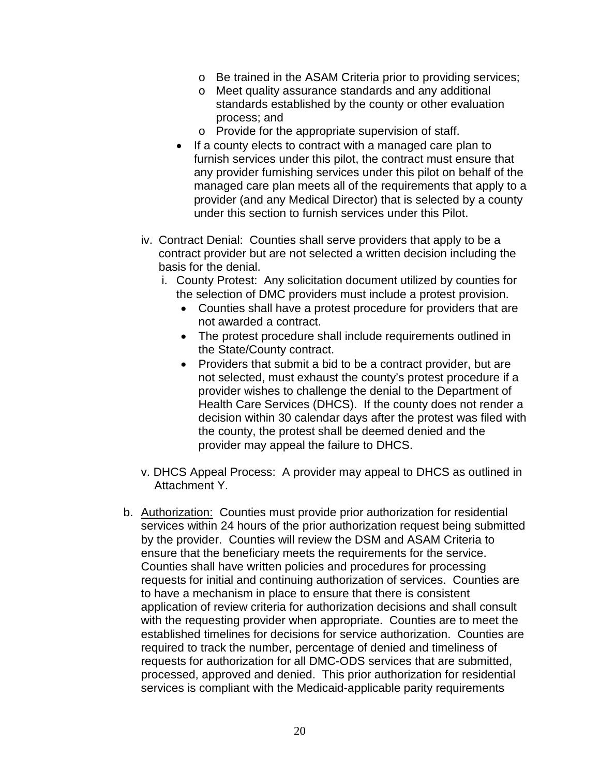- o Be trained in the ASAM Criteria prior to providing services;
- o Meet quality assurance standards and any additional standards established by the county or other evaluation process; and
- o Provide for the appropriate supervision of staff.
- If a county elects to contract with a managed care plan to furnish services under this pilot, the contract must ensure that any provider furnishing services under this pilot on behalf of the managed care plan meets all of the requirements that apply to a provider (and any Medical Director) that is selected by a county under this section to furnish services under this Pilot.
- iv. Contract Denial: Counties shall serve providers that apply to be a contract provider but are not selected a written decision including the basis for the denial.
	- i. County Protest: Any solicitation document utilized by counties for the selection of DMC providers must include a protest provision.
		- Counties shall have a protest procedure for providers that are not awarded a contract.
		- The protest procedure shall include requirements outlined in the State/County contract.
		- Providers that submit a bid to be a contract provider, but are not selected, must exhaust the county's protest procedure if a provider wishes to challenge the denial to the Department of Health Care Services (DHCS). If the county does not render a decision within 30 calendar days after the protest was filed with the county, the protest shall be deemed denied and the provider may appeal the failure to DHCS.
- v. DHCS Appeal Process: A provider may appeal to DHCS as outlined in Attachment Y.
- b. Authorization: Counties must provide prior authorization for residential services within 24 hours of the prior authorization request being submitted by the provider. Counties will review the DSM and ASAM Criteria to ensure that the beneficiary meets the requirements for the service. Counties shall have written policies and procedures for processing requests for initial and continuing authorization of services. Counties are to have a mechanism in place to ensure that there is consistent application of review criteria for authorization decisions and shall consult with the requesting provider when appropriate. Counties are to meet the established timelines for decisions for service authorization. Counties are required to track the number, percentage of denied and timeliness of requests for authorization for all DMC-ODS services that are submitted, processed, approved and denied. This prior authorization for residential services is compliant with the Medicaid-applicable parity requirements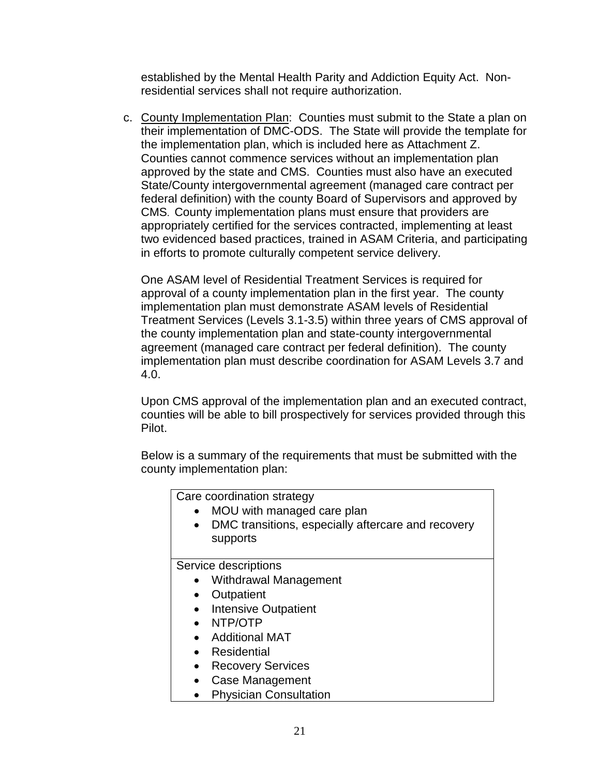established by the Mental Health Parity and Addiction Equity Act. Nonresidential services shall not require authorization.

c. County Implementation Plan: Counties must submit to the State a plan on their implementation of DMC-ODS. The State will provide the template for the implementation plan, which is included here as Attachment Z. Counties cannot commence services without an implementation plan approved by the state and CMS. Counties must also have an executed State/County intergovernmental agreement (managed care contract per federal definition) with the county Board of Supervisors and approved by CMS. County implementation plans must ensure that providers are appropriately certified for the services contracted, implementing at least two evidenced based practices, trained in ASAM Criteria, and participating in efforts to promote culturally competent service delivery.

One ASAM level of Residential Treatment Services is required for approval of a county implementation plan in the first year. The county implementation plan must demonstrate ASAM levels of Residential Treatment Services (Levels 3.1-3.5) within three years of CMS approval of the county implementation plan and state-county intergovernmental agreement (managed care contract per federal definition). The county implementation plan must describe coordination for ASAM Levels 3.7 and 4.0.

Upon CMS approval of the implementation plan and an executed contract, counties will be able to bill prospectively for services provided through this Pilot.

Below is a summary of the requirements that must be submitted with the county implementation plan: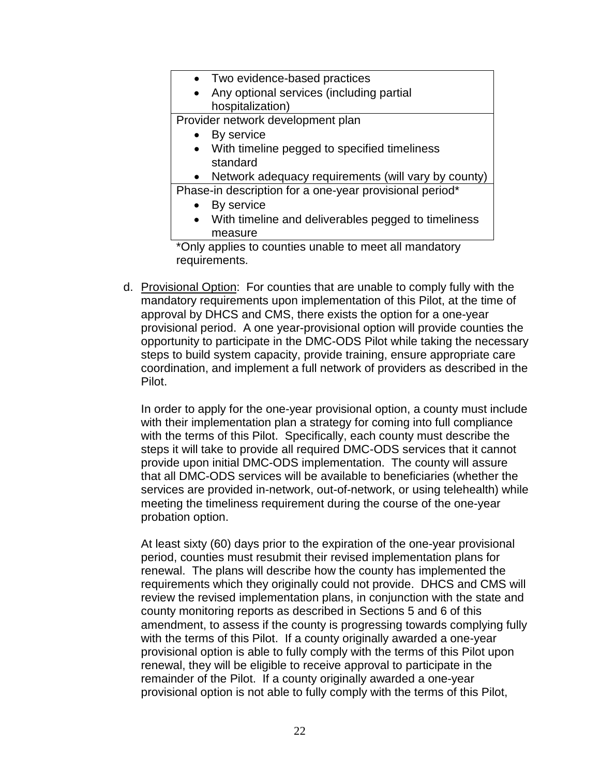| • Two evidence-based practices                                   |
|------------------------------------------------------------------|
| Any optional services (including partial<br>$\bullet$            |
| hospitalization)                                                 |
| Provider network development plan                                |
| By service                                                       |
| With timeline pegged to specified timeliness<br>$\bullet$        |
| standard                                                         |
| • Network adequacy requirements (will vary by county)            |
| Phase-in description for a one-year provisional period*          |
| By service                                                       |
| With timeline and deliverables pegged to timeliness<br>$\bullet$ |
| measure                                                          |
| وستحقق المتحفظ والحافظ ويعتبط فالماح ورزواها                     |

\*Only applies to counties unable to meet all mandatory requirements.

d. Provisional Option: For counties that are unable to comply fully with the mandatory requirements upon implementation of this Pilot, at the time of approval by DHCS and CMS, there exists the option for a one-year provisional period. A one year-provisional option will provide counties the opportunity to participate in the DMC-ODS Pilot while taking the necessary steps to build system capacity, provide training, ensure appropriate care coordination, and implement a full network of providers as described in the Pilot.

In order to apply for the one-year provisional option, a county must include with their implementation plan a strategy for coming into full compliance with the terms of this Pilot. Specifically, each county must describe the steps it will take to provide all required DMC-ODS services that it cannot provide upon initial DMC-ODS implementation. The county will assure that all DMC-ODS services will be available to beneficiaries (whether the services are provided in-network, out-of-network, or using telehealth) while meeting the timeliness requirement during the course of the one-year probation option.

At least sixty (60) days prior to the expiration of the one-year provisional period, counties must resubmit their revised implementation plans for renewal. The plans will describe how the county has implemented the requirements which they originally could not provide. DHCS and CMS will review the revised implementation plans, in conjunction with the state and county monitoring reports as described in Sections 5 and 6 of this amendment, to assess if the county is progressing towards complying fully with the terms of this Pilot. If a county originally awarded a one-year provisional option is able to fully comply with the terms of this Pilot upon renewal, they will be eligible to receive approval to participate in the remainder of the Pilot. If a county originally awarded a one-year provisional option is not able to fully comply with the terms of this Pilot,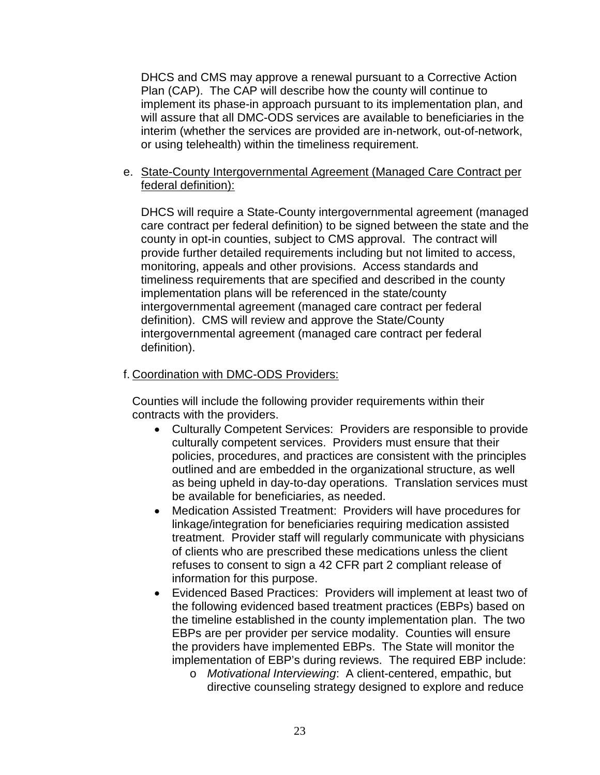DHCS and CMS may approve a renewal pursuant to a Corrective Action Plan (CAP). The CAP will describe how the county will continue to implement its phase-in approach pursuant to its implementation plan, and will assure that all DMC-ODS services are available to beneficiaries in the interim (whether the services are provided are in-network, out-of-network, or using telehealth) within the timeliness requirement.

### e. State-County Intergovernmental Agreement (Managed Care Contract per federal definition):

DHCS will require a State-County intergovernmental agreement (managed care contract per federal definition) to be signed between the state and the county in opt-in counties, subject to CMS approval. The contract will provide further detailed requirements including but not limited to access, monitoring, appeals and other provisions. Access standards and timeliness requirements that are specified and described in the county implementation plans will be referenced in the state/county intergovernmental agreement (managed care contract per federal definition). CMS will review and approve the State/County intergovernmental agreement (managed care contract per federal definition).

### f. Coordination with DMC-ODS Providers:

Counties will include the following provider requirements within their contracts with the providers.

- Culturally Competent Services: Providers are responsible to provide culturally competent services. Providers must ensure that their policies, procedures, and practices are consistent with the principles outlined and are embedded in the organizational structure, as well as being upheld in day-to-day operations. Translation services must be available for beneficiaries, as needed.
- Medication Assisted Treatment: Providers will have procedures for linkage/integration for beneficiaries requiring medication assisted treatment. Provider staff will regularly communicate with physicians of clients who are prescribed these medications unless the client refuses to consent to sign a 42 CFR part 2 compliant release of information for this purpose.
- Evidenced Based Practices: Providers will implement at least two of the following evidenced based treatment practices (EBPs) based on the timeline established in the county implementation plan. The two EBPs are per provider per service modality. Counties will ensure the providers have implemented EBPs. The State will monitor the implementation of EBP's during reviews. The required EBP include:
	- o *Motivational Interviewing*: A client-centered, empathic, but directive counseling strategy designed to explore and reduce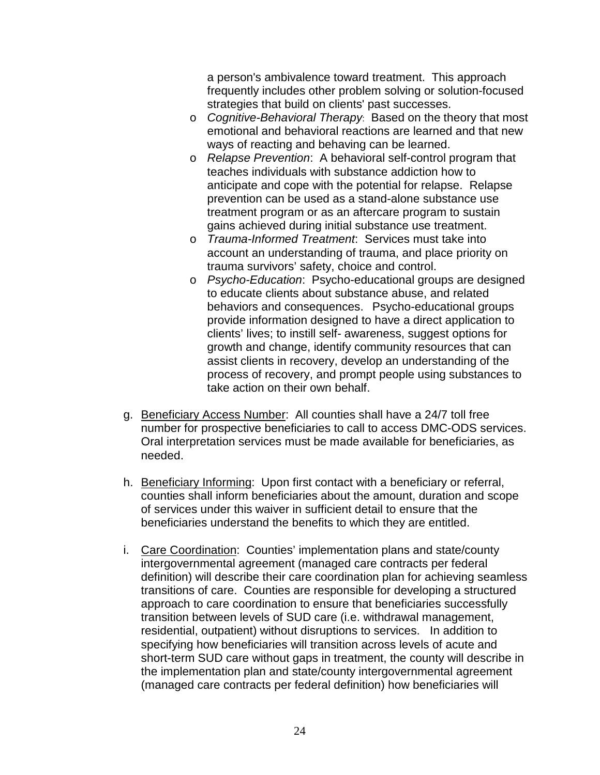a person's ambivalence toward treatment. This approach frequently includes other problem solving or solution-focused strategies that build on clients' past successes.

- o *Cognitive-Behavioral Therapy*: Based on the theory that most emotional and behavioral reactions are learned and that new ways of reacting and behaving can be learned.
- o *Relapse Prevention*: A behavioral self-control program that teaches individuals with substance addiction how to anticipate and cope with the potential for relapse. Relapse prevention can be used as a stand-alone substance use treatment program or as an aftercare program to sustain gains achieved during initial substance use treatment.
- o *Trauma-Informed Treatment*: Services must take into account an understanding of trauma, and place priority on trauma survivors' safety, choice and control.
- o *Psycho-Education*: Psycho-educational groups are designed to educate clients about substance abuse, and related behaviors and consequences. Psycho-educational groups provide information designed to have a direct application to clients' lives; to instill self- awareness, suggest options for growth and change, identify community resources that can assist clients in recovery, develop an understanding of the process of recovery, and prompt people using substances to take action on their own behalf.
- g. Beneficiary Access Number: All counties shall have a 24/7 toll free number for prospective beneficiaries to call to access DMC-ODS services. Oral interpretation services must be made available for beneficiaries, as needed.
- h. Beneficiary Informing: Upon first contact with a beneficiary or referral, counties shall inform beneficiaries about the amount, duration and scope of services under this waiver in sufficient detail to ensure that the beneficiaries understand the benefits to which they are entitled.
- i. Care Coordination: Counties' implementation plans and state/county intergovernmental agreement (managed care contracts per federal definition) will describe their care coordination plan for achieving seamless transitions of care. Counties are responsible for developing a structured approach to care coordination to ensure that beneficiaries successfully transition between levels of SUD care (i.e. withdrawal management, residential, outpatient) without disruptions to services. In addition to specifying how beneficiaries will transition across levels of acute and short-term SUD care without gaps in treatment, the county will describe in the implementation plan and state/county intergovernmental agreement (managed care contracts per federal definition) how beneficiaries will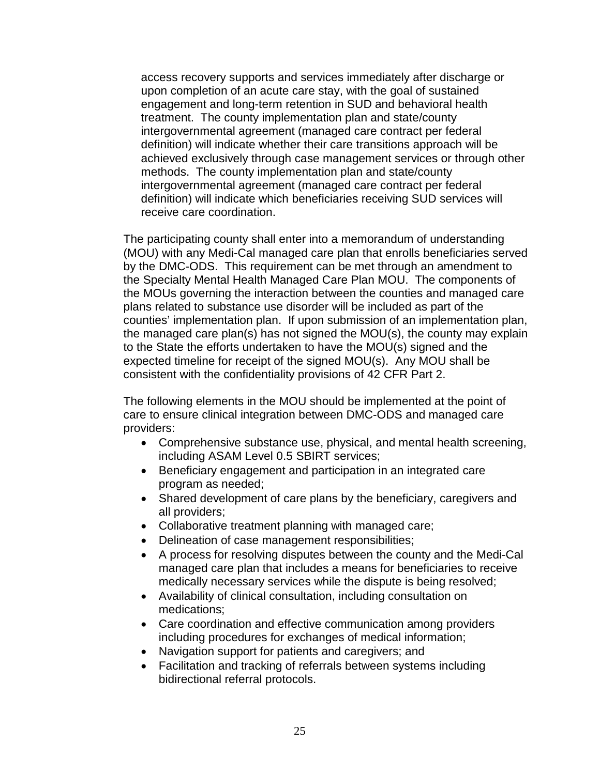access recovery supports and services immediately after discharge or upon completion of an acute care stay, with the goal of sustained engagement and long-term retention in SUD and behavioral health treatment. The county implementation plan and state/county intergovernmental agreement (managed care contract per federal definition) will indicate whether their care transitions approach will be achieved exclusively through case management services or through other methods. The county implementation plan and state/county intergovernmental agreement (managed care contract per federal definition) will indicate which beneficiaries receiving SUD services will receive care coordination.

The participating county shall enter into a memorandum of understanding (MOU) with any Medi-Cal managed care plan that enrolls beneficiaries served by the DMC-ODS. This requirement can be met through an amendment to the Specialty Mental Health Managed Care Plan MOU. The components of the MOUs governing the interaction between the counties and managed care plans related to substance use disorder will be included as part of the counties' implementation plan. If upon submission of an implementation plan, the managed care plan(s) has not signed the MOU(s), the county may explain to the State the efforts undertaken to have the MOU(s) signed and the expected timeline for receipt of the signed MOU(s). Any MOU shall be consistent with the confidentiality provisions of 42 CFR Part 2.

The following elements in the MOU should be implemented at the point of care to ensure clinical integration between DMC-ODS and managed care providers:

- Comprehensive substance use, physical, and mental health screening, including ASAM Level 0.5 SBIRT services;
- Beneficiary engagement and participation in an integrated care program as needed;
- Shared development of care plans by the beneficiary, caregivers and all providers;
- Collaborative treatment planning with managed care;
- Delineation of case management responsibilities;
- A process for resolving disputes between the county and the Medi-Cal managed care plan that includes a means for beneficiaries to receive medically necessary services while the dispute is being resolved;
- Availability of clinical consultation, including consultation on medications;
- Care coordination and effective communication among providers including procedures for exchanges of medical information;
- Navigation support for patients and caregivers; and
- Facilitation and tracking of referrals between systems including bidirectional referral protocols.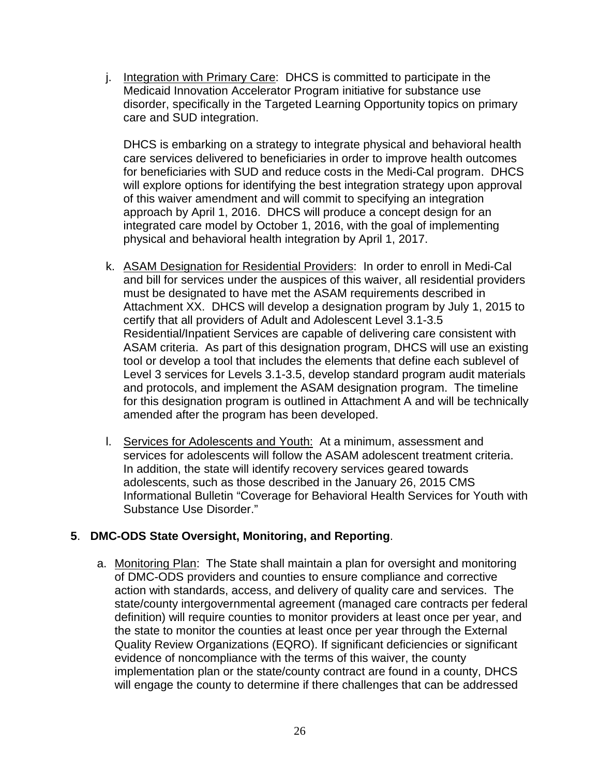j. Integration with Primary Care: DHCS is committed to participate in the Medicaid Innovation Accelerator Program initiative for substance use disorder, specifically in the Targeted Learning Opportunity topics on primary care and SUD integration.

DHCS is embarking on a strategy to integrate physical and behavioral health care services delivered to beneficiaries in order to improve health outcomes for beneficiaries with SUD and reduce costs in the Medi-Cal program. DHCS will explore options for identifying the best integration strategy upon approval of this waiver amendment and will commit to specifying an integration approach by April 1, 2016. DHCS will produce a concept design for an integrated care model by October 1, 2016, with the goal of implementing physical and behavioral health integration by April 1, 2017.

- k. ASAM Designation for Residential Providers: In order to enroll in Medi-Cal and bill for services under the auspices of this waiver, all residential providers must be designated to have met the ASAM requirements described in Attachment XX. DHCS will develop a designation program by July 1, 2015 to certify that all providers of Adult and Adolescent Level 3.1-3.5 Residential/Inpatient Services are capable of delivering care consistent with ASAM criteria. As part of this designation program, DHCS will use an existing tool or develop a tool that includes the elements that define each sublevel of Level 3 services for Levels 3.1-3.5, develop standard program audit materials and protocols, and implement the ASAM designation program. The timeline for this designation program is outlined in Attachment A and will be technically amended after the program has been developed.
- l. Services for Adolescents and Youth: At a minimum, assessment and services for adolescents will follow the ASAM adolescent treatment criteria. In addition, the state will identify recovery services geared towards adolescents, such as those described in the January 26, 2015 CMS Informational Bulletin "Coverage for Behavioral Health Services for Youth with Substance Use Disorder."

## **5**. **DMC-ODS State Oversight, Monitoring, and Reporting**.

a. Monitoring Plan: The State shall maintain a plan for oversight and monitoring of DMC-ODS providers and counties to ensure compliance and corrective action with standards, access, and delivery of quality care and services. The state/county intergovernmental agreement (managed care contracts per federal definition) will require counties to monitor providers at least once per year, and the state to monitor the counties at least once per year through the External Quality Review Organizations (EQRO). If significant deficiencies or significant evidence of noncompliance with the terms of this waiver, the county implementation plan or the state/county contract are found in a county, DHCS will engage the county to determine if there challenges that can be addressed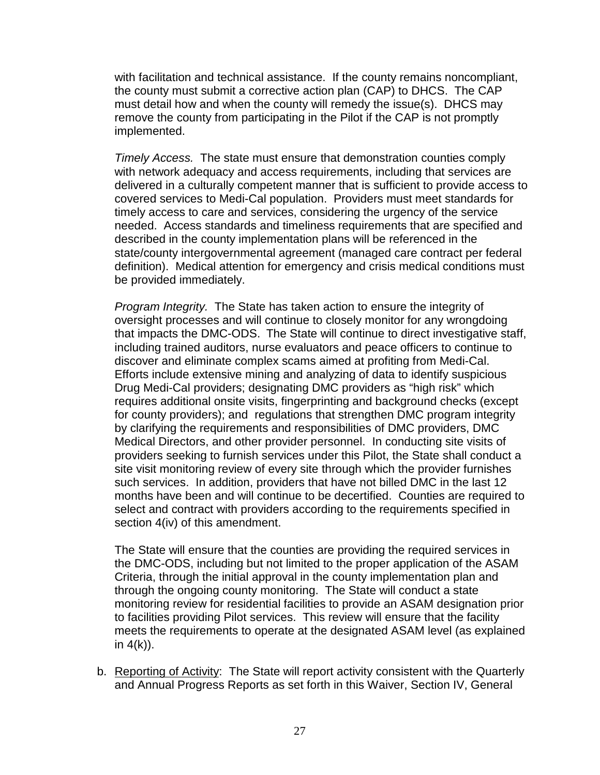with facilitation and technical assistance. If the county remains noncompliant, the county must submit a corrective action plan (CAP) to DHCS. The CAP must detail how and when the county will remedy the issue(s). DHCS may remove the county from participating in the Pilot if the CAP is not promptly implemented.

*Timely Access.* The state must ensure that demonstration counties comply with network adequacy and access requirements, including that services are delivered in a culturally competent manner that is sufficient to provide access to covered services to Medi-Cal population. Providers must meet standards for timely access to care and services, considering the urgency of the service needed. Access standards and timeliness requirements that are specified and described in the county implementation plans will be referenced in the state/county intergovernmental agreement (managed care contract per federal definition). Medical attention for emergency and crisis medical conditions must be provided immediately.

*Program Integrity.* The State has taken action to ensure the integrity of oversight processes and will continue to closely monitor for any wrongdoing that impacts the DMC-ODS. The State will continue to direct investigative staff, including trained auditors, nurse evaluators and peace officers to continue to discover and eliminate complex scams aimed at profiting from Medi-Cal. Efforts include extensive mining and analyzing of data to identify suspicious Drug Medi-Cal providers; designating DMC providers as "high risk" which requires additional onsite visits, fingerprinting and background checks (except for county providers); and regulations that strengthen DMC program integrity by clarifying the requirements and responsibilities of DMC providers, DMC Medical Directors, and other provider personnel. In conducting site visits of providers seeking to furnish services under this Pilot, the State shall conduct a site visit monitoring review of every site through which the provider furnishes such services. In addition, providers that have not billed DMC in the last 12 months have been and will continue to be decertified. Counties are required to select and contract with providers according to the requirements specified in section 4(iv) of this amendment.

The State will ensure that the counties are providing the required services in the DMC-ODS, including but not limited to the proper application of the ASAM Criteria, through the initial approval in the county implementation plan and through the ongoing county monitoring. The State will conduct a state monitoring review for residential facilities to provide an ASAM designation prior to facilities providing Pilot services. This review will ensure that the facility meets the requirements to operate at the designated ASAM level (as explained in  $4(k)$ ).

b. Reporting of Activity: The State will report activity consistent with the Quarterly and Annual Progress Reports as set forth in this Waiver, Section IV, General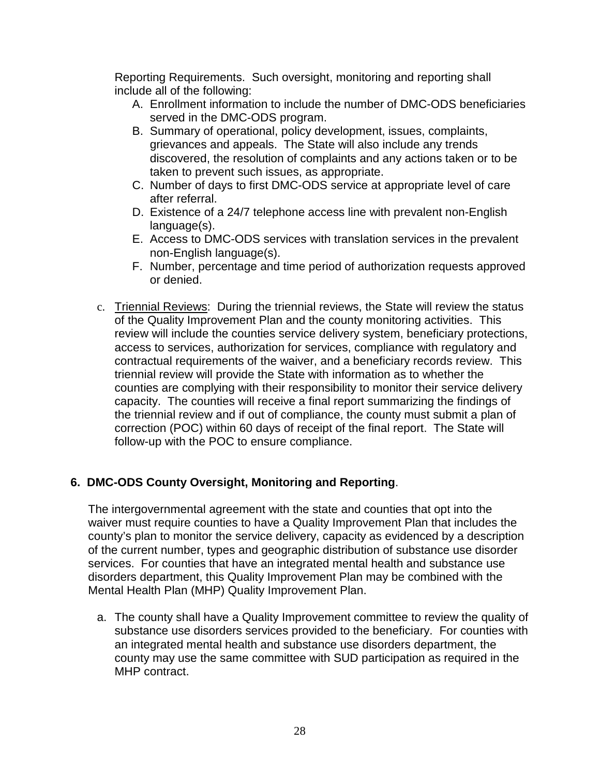Reporting Requirements. Such oversight, monitoring and reporting shall include all of the following:

- A. Enrollment information to include the number of DMC-ODS beneficiaries served in the DMC-ODS program.
- B. Summary of operational, policy development, issues, complaints, grievances and appeals. The State will also include any trends discovered, the resolution of complaints and any actions taken or to be taken to prevent such issues, as appropriate.
- C. Number of days to first DMC-ODS service at appropriate level of care after referral.
- D. Existence of a 24/7 telephone access line with prevalent non-English language(s).
- E. Access to DMC-ODS services with translation services in the prevalent non-English language(s).
- F. Number, percentage and time period of authorization requests approved or denied.
- c. Triennial Reviews: During the triennial reviews, the State will review the status of the Quality Improvement Plan and the county monitoring activities. This review will include the counties service delivery system, beneficiary protections, access to services, authorization for services, compliance with regulatory and contractual requirements of the waiver, and a beneficiary records review. This triennial review will provide the State with information as to whether the counties are complying with their responsibility to monitor their service delivery capacity. The counties will receive a final report summarizing the findings of the triennial review and if out of compliance, the county must submit a plan of correction (POC) within 60 days of receipt of the final report. The State will follow-up with the POC to ensure compliance.

# **6. DMC-ODS County Oversight, Monitoring and Reporting**.

The intergovernmental agreement with the state and counties that opt into the waiver must require counties to have a Quality Improvement Plan that includes the county's plan to monitor the service delivery, capacity as evidenced by a description of the current number, types and geographic distribution of substance use disorder services. For counties that have an integrated mental health and substance use disorders department, this Quality Improvement Plan may be combined with the Mental Health Plan (MHP) Quality Improvement Plan.

a. The county shall have a Quality Improvement committee to review the quality of substance use disorders services provided to the beneficiary. For counties with an integrated mental health and substance use disorders department, the county may use the same committee with SUD participation as required in the MHP contract.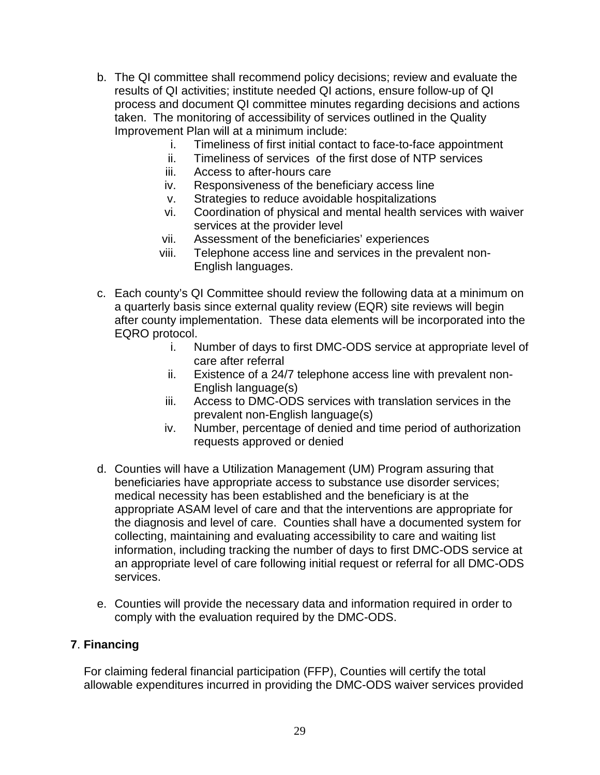- b. The QI committee shall recommend policy decisions; review and evaluate the results of QI activities; institute needed QI actions, ensure follow-up of QI process and document QI committee minutes regarding decisions and actions taken. The monitoring of accessibility of services outlined in the Quality Improvement Plan will at a minimum include:
	- i. Timeliness of first initial contact to face-to-face appointment
	- ii. Timeliness of services of the first dose of NTP services
	- iii. Access to after-hours care
	- iv. Responsiveness of the beneficiary access line
	- v. Strategies to reduce avoidable hospitalizations
	- vi. Coordination of physical and mental health services with waiver services at the provider level
	- vii. Assessment of the beneficiaries' experiences
	- viii. Telephone access line and services in the prevalent non-English languages.
- c. Each county's QI Committee should review the following data at a minimum on a quarterly basis since external quality review (EQR) site reviews will begin after county implementation. These data elements will be incorporated into the EQRO protocol.
	- i. Number of days to first DMC-ODS service at appropriate level of care after referral
	- ii. Existence of a 24/7 telephone access line with prevalent non-English language(s)
	- iii. Access to DMC-ODS services with translation services in the prevalent non-English language(s)
	- iv. Number, percentage of denied and time period of authorization requests approved or denied
- d. Counties will have a Utilization Management (UM) Program assuring that beneficiaries have appropriate access to substance use disorder services; medical necessity has been established and the beneficiary is at the appropriate ASAM level of care and that the interventions are appropriate for the diagnosis and level of care. Counties shall have a documented system for collecting, maintaining and evaluating accessibility to care and waiting list information, including tracking the number of days to first DMC-ODS service at an appropriate level of care following initial request or referral for all DMC-ODS services.
- e. Counties will provide the necessary data and information required in order to comply with the evaluation required by the DMC-ODS.

## **7**. **Financing**

For claiming federal financial participation (FFP), Counties will certify the total allowable expenditures incurred in providing the DMC-ODS waiver services provided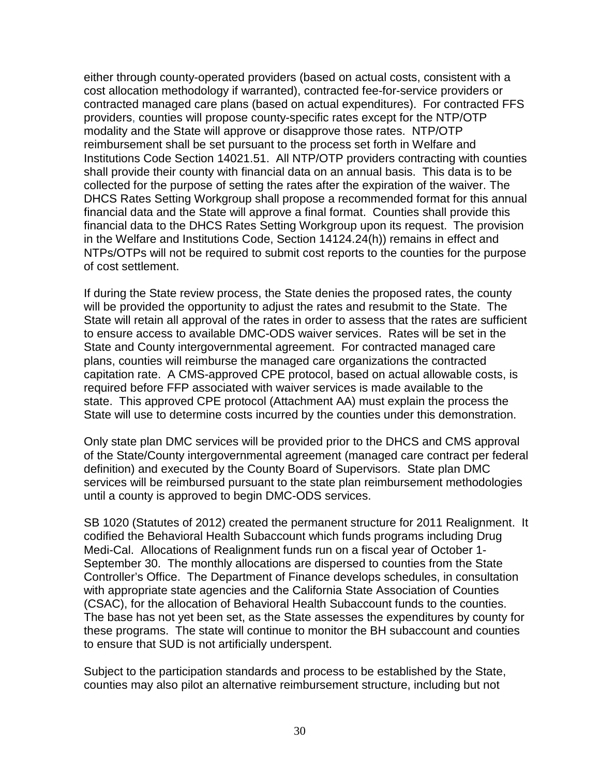either through county-operated providers (based on actual costs, consistent with a cost allocation methodology if warranted), contracted fee-for-service providers or contracted managed care plans (based on actual expenditures). For contracted FFS providers, counties will propose county-specific rates except for the NTP/OTP modality and the State will approve or disapprove those rates. NTP/OTP reimbursement shall be set pursuant to the process set forth in Welfare and Institutions Code Section 14021.51. All NTP/OTP providers contracting with counties shall provide their county with financial data on an annual basis. This data is to be collected for the purpose of setting the rates after the expiration of the waiver. The DHCS Rates Setting Workgroup shall propose a recommended format for this annual financial data and the State will approve a final format. Counties shall provide this financial data to the DHCS Rates Setting Workgroup upon its request. The provision in the Welfare and Institutions Code, Section 14124.24(h)) remains in effect and NTPs/OTPs will not be required to submit cost reports to the counties for the purpose of cost settlement.

If during the State review process, the State denies the proposed rates, the county will be provided the opportunity to adjust the rates and resubmit to the State. The State will retain all approval of the rates in order to assess that the rates are sufficient to ensure access to available DMC-ODS waiver services. Rates will be set in the State and County intergovernmental agreement. For contracted managed care plans, counties will reimburse the managed care organizations the contracted capitation rate. A CMS-approved CPE protocol, based on actual allowable costs, is required before FFP associated with waiver services is made available to the state. This approved CPE protocol (Attachment AA) must explain the process the State will use to determine costs incurred by the counties under this demonstration.

Only state plan DMC services will be provided prior to the DHCS and CMS approval of the State/County intergovernmental agreement (managed care contract per federal definition) and executed by the County Board of Supervisors. State plan DMC services will be reimbursed pursuant to the state plan reimbursement methodologies until a county is approved to begin DMC-ODS services.

SB 1020 (Statutes of 2012) created the permanent structure for 2011 Realignment. It codified the Behavioral Health Subaccount which funds programs including Drug Medi-Cal. Allocations of Realignment funds run on a fiscal year of October 1- September 30. The monthly allocations are dispersed to counties from the State Controller's Office. The Department of Finance develops schedules, in consultation with appropriate state agencies and the California State Association of Counties (CSAC), for the allocation of Behavioral Health Subaccount funds to the counties. The base has not yet been set, as the State assesses the expenditures by county for these programs. The state will continue to monitor the BH subaccount and counties to ensure that SUD is not artificially underspent.

Subject to the participation standards and process to be established by the State, counties may also pilot an alternative reimbursement structure, including but not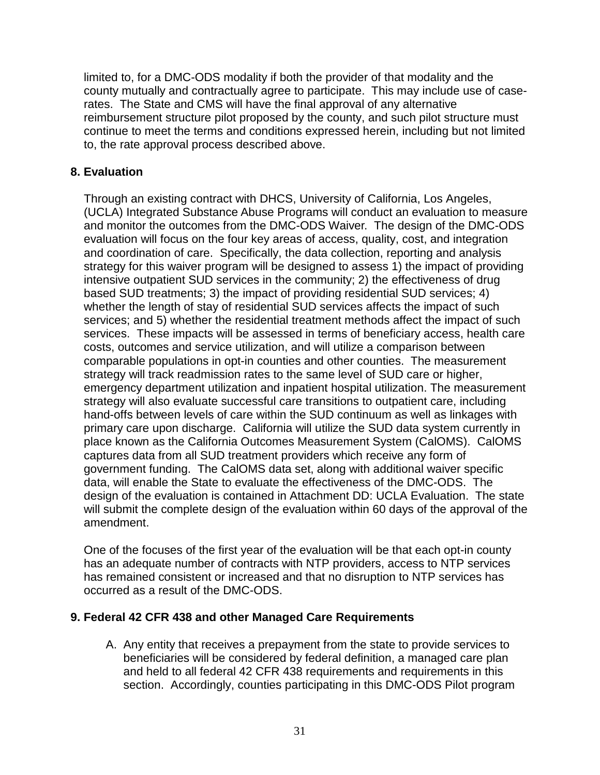limited to, for a DMC-ODS modality if both the provider of that modality and the county mutually and contractually agree to participate. This may include use of caserates. The State and CMS will have the final approval of any alternative reimbursement structure pilot proposed by the county, and such pilot structure must continue to meet the terms and conditions expressed herein, including but not limited to, the rate approval process described above.

### **8. Evaluation**

Through an existing contract with DHCS, University of California, Los Angeles, (UCLA) Integrated Substance Abuse Programs will conduct an evaluation to measure and monitor the outcomes from the DMC-ODS Waiver. The design of the DMC-ODS evaluation will focus on the four key areas of access, quality, cost, and integration and coordination of care. Specifically, the data collection, reporting and analysis strategy for this waiver program will be designed to assess 1) the impact of providing intensive outpatient SUD services in the community; 2) the effectiveness of drug based SUD treatments; 3) the impact of providing residential SUD services; 4) whether the length of stay of residential SUD services affects the impact of such services; and 5) whether the residential treatment methods affect the impact of such services. These impacts will be assessed in terms of beneficiary access, health care costs, outcomes and service utilization, and will utilize a comparison between comparable populations in opt-in counties and other counties. The measurement strategy will track readmission rates to the same level of SUD care or higher, emergency department utilization and inpatient hospital utilization. The measurement strategy will also evaluate successful care transitions to outpatient care, including hand-offs between levels of care within the SUD continuum as well as linkages with primary care upon discharge. California will utilize the SUD data system currently in place known as the California Outcomes Measurement System (CalOMS). CalOMS captures data from all SUD treatment providers which receive any form of government funding. The CalOMS data set, along with additional waiver specific data, will enable the State to evaluate the effectiveness of the DMC-ODS. The design of the evaluation is contained in Attachment DD: UCLA Evaluation. The state will submit the complete design of the evaluation within 60 days of the approval of the amendment.

One of the focuses of the first year of the evaluation will be that each opt-in county has an adequate number of contracts with NTP providers, access to NTP services has remained consistent or increased and that no disruption to NTP services has occurred as a result of the DMC-ODS.

### **9. Federal 42 CFR 438 and other Managed Care Requirements**

A. Any entity that receives a prepayment from the state to provide services to beneficiaries will be considered by federal definition, a managed care plan and held to all federal 42 CFR 438 requirements and requirements in this section. Accordingly, counties participating in this DMC-ODS Pilot program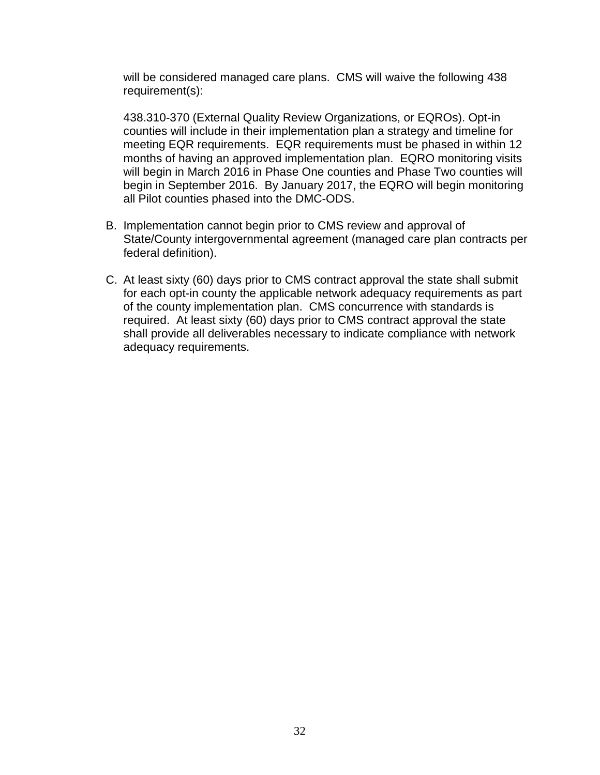will be considered managed care plans. CMS will waive the following 438 requirement(s):

438.310-370 (External Quality Review Organizations, or EQROs). Opt-in counties will include in their implementation plan a strategy and timeline for meeting EQR requirements. EQR requirements must be phased in within 12 months of having an approved implementation plan. EQRO monitoring visits will begin in March 2016 in Phase One counties and Phase Two counties will begin in September 2016. By January 2017, the EQRO will begin monitoring all Pilot counties phased into the DMC-ODS.

- B. Implementation cannot begin prior to CMS review and approval of State/County intergovernmental agreement (managed care plan contracts per federal definition).
- C. At least sixty (60) days prior to CMS contract approval the state shall submit for each opt-in county the applicable network adequacy requirements as part of the county implementation plan. CMS concurrence with standards is required. At least sixty (60) days prior to CMS contract approval the state shall provide all deliverables necessary to indicate compliance with network adequacy requirements.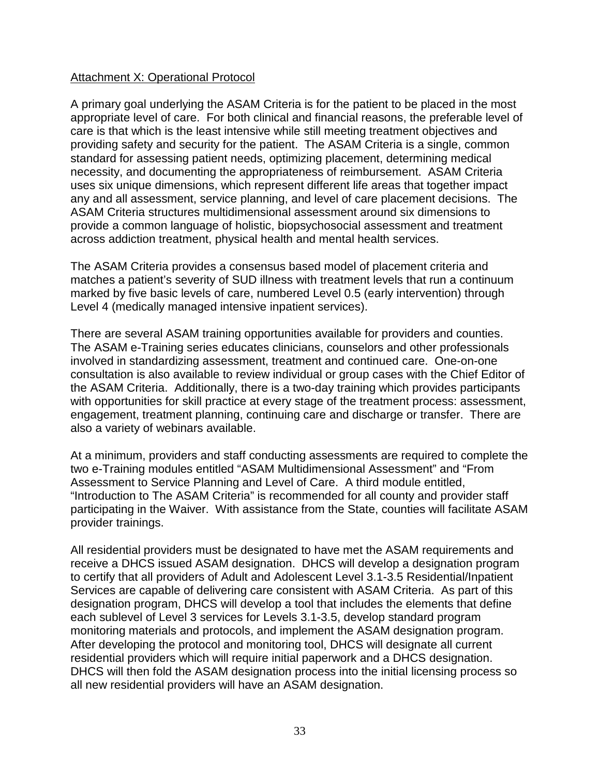### Attachment X: Operational Protocol

A primary goal underlying the ASAM Criteria is for the patient to be placed in the most appropriate level of care. For both clinical and financial reasons, the preferable level of care is that which is the least intensive while still meeting treatment objectives and providing safety and security for the patient. The ASAM Criteria is a single, common standard for assessing patient needs, optimizing placement, determining medical necessity, and documenting the appropriateness of reimbursement. ASAM Criteria uses six unique dimensions, which represent different life areas that together impact any and all assessment, service planning, and level of care placement decisions. The ASAM Criteria structures multidimensional assessment around six dimensions to provide a common language of holistic, biopsychosocial assessment and treatment across addiction treatment, physical health and mental health services.

The ASAM Criteria provides a consensus based model of placement criteria and matches a patient's severity of SUD illness with treatment levels that run a continuum marked by five basic levels of care, numbered Level 0.5 (early intervention) through Level 4 (medically managed intensive inpatient services).

There are several ASAM training opportunities available for providers and counties. The ASAM e-Training series educates clinicians, counselors and other professionals involved in standardizing assessment, treatment and continued care. One-on-one consultation is also available to review individual or group cases with the Chief Editor of the ASAM Criteria. Additionally, there is a two-day training which provides participants with opportunities for skill practice at every stage of the treatment process: assessment, engagement, treatment planning, continuing care and discharge or transfer. There are also a variety of webinars available.

At a minimum, providers and staff conducting assessments are required to complete the two e-Training modules entitled "ASAM Multidimensional Assessment" and "From Assessment to Service Planning and Level of Care. A third module entitled, "Introduction to The ASAM Criteria" is recommended for all county and provider staff participating in the Waiver. With assistance from the State, counties will facilitate ASAM provider trainings.

All residential providers must be designated to have met the ASAM requirements and receive a DHCS issued ASAM designation. DHCS will develop a designation program to certify that all providers of Adult and Adolescent Level 3.1-3.5 Residential/Inpatient Services are capable of delivering care consistent with ASAM Criteria. As part of this designation program, DHCS will develop a tool that includes the elements that define each sublevel of Level 3 services for Levels 3.1-3.5, develop standard program monitoring materials and protocols, and implement the ASAM designation program. After developing the protocol and monitoring tool, DHCS will designate all current residential providers which will require initial paperwork and a DHCS designation. DHCS will then fold the ASAM designation process into the initial licensing process so all new residential providers will have an ASAM designation.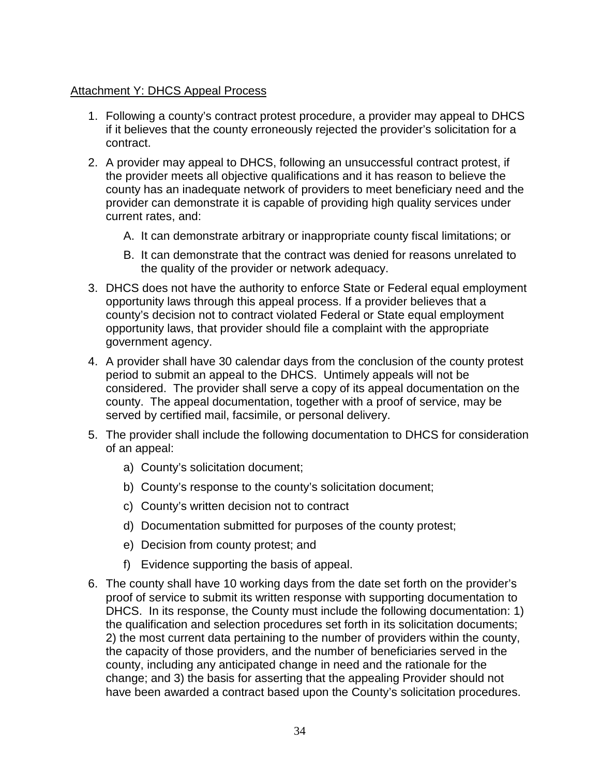### Attachment Y: DHCS Appeal Process

- 1. Following a county's contract protest procedure, a provider may appeal to DHCS if it believes that the county erroneously rejected the provider's solicitation for a contract.
- 2. A provider may appeal to DHCS, following an unsuccessful contract protest, if the provider meets all objective qualifications and it has reason to believe the county has an inadequate network of providers to meet beneficiary need and the provider can demonstrate it is capable of providing high quality services under current rates, and:
	- A. It can demonstrate arbitrary or inappropriate county fiscal limitations; or
	- B. It can demonstrate that the contract was denied for reasons unrelated to the quality of the provider or network adequacy.
- 3. DHCS does not have the authority to enforce State or Federal equal employment opportunity laws through this appeal process. If a provider believes that a county's decision not to contract violated Federal or State equal employment opportunity laws, that provider should file a complaint with the appropriate government agency.
- 4. A provider shall have 30 calendar days from the conclusion of the county protest period to submit an appeal to the DHCS. Untimely appeals will not be considered. The provider shall serve a copy of its appeal documentation on the county. The appeal documentation, together with a proof of service, may be served by certified mail, facsimile, or personal delivery.
- 5. The provider shall include the following documentation to DHCS for consideration of an appeal:
	- a) County's solicitation document;
	- b) County's response to the county's solicitation document;
	- c) County's written decision not to contract
	- d) Documentation submitted for purposes of the county protest;
	- e) Decision from county protest; and
	- f) Evidence supporting the basis of appeal.
- 6. The county shall have 10 working days from the date set forth on the provider's proof of service to submit its written response with supporting documentation to DHCS. In its response, the County must include the following documentation: 1) the qualification and selection procedures set forth in its solicitation documents; 2) the most current data pertaining to the number of providers within the county, the capacity of those providers, and the number of beneficiaries served in the county, including any anticipated change in need and the rationale for the change; and 3) the basis for asserting that the appealing Provider should not have been awarded a contract based upon the County's solicitation procedures.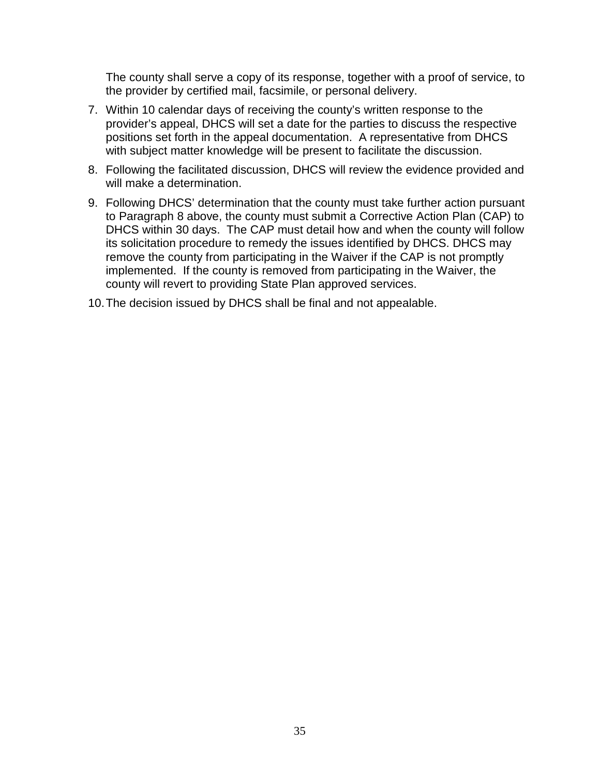The county shall serve a copy of its response, together with a proof of service, to the provider by certified mail, facsimile, or personal delivery.

- 7. Within 10 calendar days of receiving the county's written response to the provider's appeal, DHCS will set a date for the parties to discuss the respective positions set forth in the appeal documentation. A representative from DHCS with subject matter knowledge will be present to facilitate the discussion.
- 8. Following the facilitated discussion, DHCS will review the evidence provided and will make a determination.
- 9. Following DHCS' determination that the county must take further action pursuant to Paragraph 8 above, the county must submit a Corrective Action Plan (CAP) to DHCS within 30 days. The CAP must detail how and when the county will follow its solicitation procedure to remedy the issues identified by DHCS. DHCS may remove the county from participating in the Waiver if the CAP is not promptly implemented. If the county is removed from participating in the Waiver, the county will revert to providing State Plan approved services.
- 10.The decision issued by DHCS shall be final and not appealable.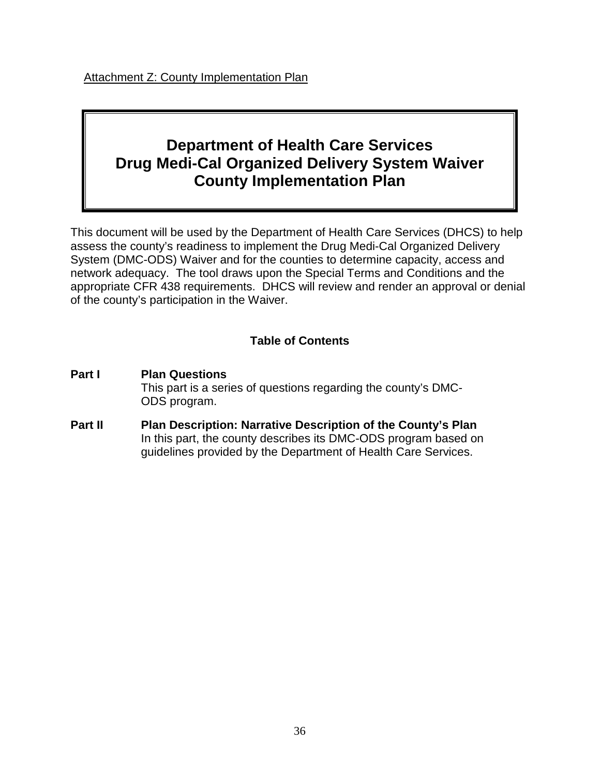Attachment Z: County Implementation Plan

# **Department of Health Care Services Drug Medi-Cal Organized Delivery System Waiver County Implementation Plan**

This document will be used by the Department of Health Care Services (DHCS) to help assess the county's readiness to implement the Drug Medi-Cal Organized Delivery System (DMC-ODS) Waiver and for the counties to determine capacity, access and network adequacy. The tool draws upon the Special Terms and Conditions and the appropriate CFR 438 requirements. DHCS will review and render an approval or denial of the county's participation in the Waiver.

# **Table of Contents**

- **Part I Plan Questions** This part is a series of questions regarding the county's DMC-ODS program.
- **Part II Plan Description: Narrative Description of the County's Plan**  In this part, the county describes its DMC-ODS program based on guidelines provided by the Department of Health Care Services.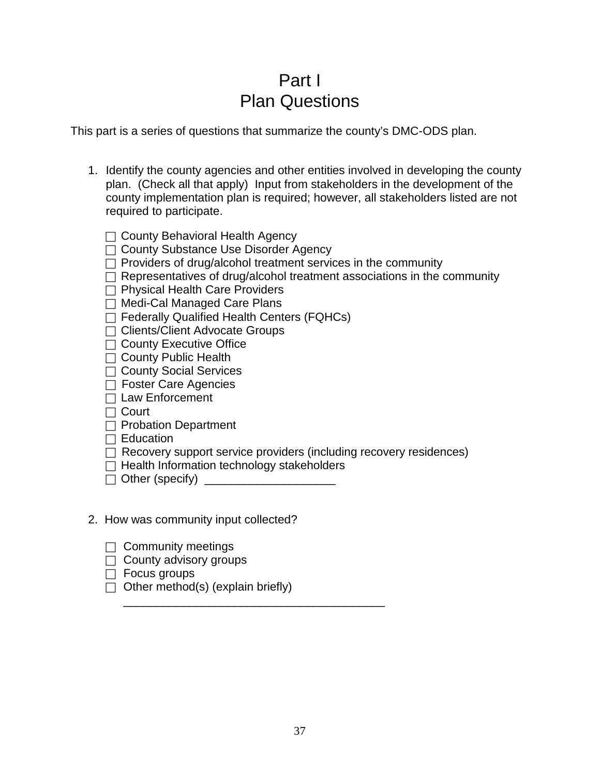# Part I Plan Questions

This part is a series of questions that summarize the county's DMC-ODS plan.

- 1. Identify the county agencies and other entities involved in developing the county plan. (Check all that apply) Input from stakeholders in the development of the county implementation plan is required; however, all stakeholders listed are not required to participate.
	- $\Box$  County Behavioral Health Agency
	- □ County Substance Use Disorder Agency
	- $\Box$  Providers of drug/alcohol treatment services in the community
	- $\Box$  Representatives of drug/alcohol treatment associations in the community
	- $\Box$  Physical Health Care Providers
	- $\Box$  Medi-Cal Managed Care Plans
	- $\Box$  Federally Qualified Health Centers (FQHCs)
	- □ Clients/Client Advocate Groups
	- $\Box$  County Executive Office
	- $\Box$  County Public Health
	- □ County Social Services
	- □ Foster Care Agencies
	- $\Box$  Law Enforcement
	- $\Box$  Court
	- $\Box$  Probation Department
	- $\Box$  Education
	- $\Box$  Recovery support service providers (including recovery residences)
	- $\Box$  Health Information technology stakeholders

\_\_\_\_\_\_\_\_\_\_\_\_\_\_\_\_\_\_\_\_\_\_\_\_\_\_\_\_\_\_\_\_\_\_\_\_\_\_\_\_

 $\Box$  Other (specify)  $\Box$ 

### 2. How was community input collected?

- $\Box$  Community meetings
- $\Box$  County advisory groups
- $\Box$  Focus groups
- $\Box$  Other method(s) (explain briefly)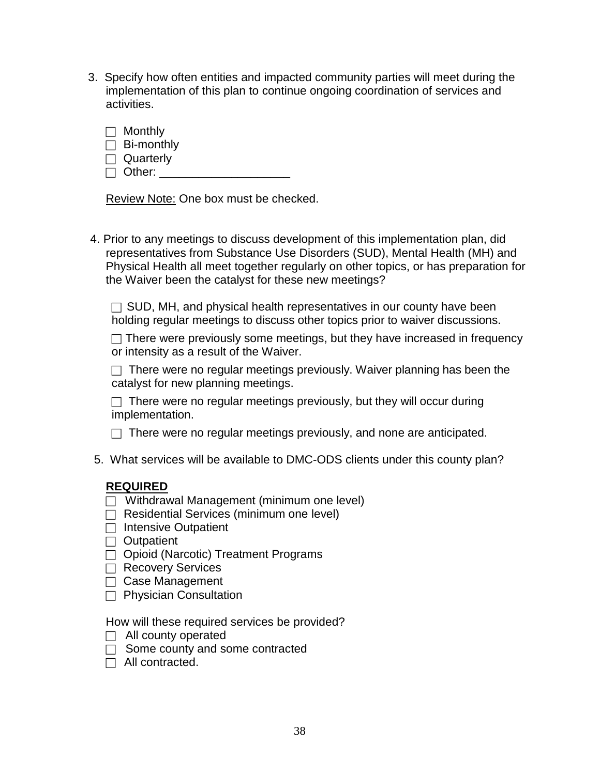- 3. Specify how often entities and impacted community parties will meet during the implementation of this plan to continue ongoing coordination of services and activities.
	- $\Box$  Monthly
	- $\Box$  Bi-monthly
	- □ Quarterly
	- $\Box$  Other:  $\Box$

Review Note: One box must be checked.

 4. Prior to any meetings to discuss development of this implementation plan, did representatives from Substance Use Disorders (SUD), Mental Health (MH) and Physical Health all meet together regularly on other topics, or has preparation for the Waiver been the catalyst for these new meetings?

 $\Box$  SUD, MH, and physical health representatives in our county have been holding regular meetings to discuss other topics prior to waiver discussions.

 $\Box$  There were previously some meetings, but they have increased in frequency or intensity as a result of the Waiver.

 $\Box$  There were no regular meetings previously. Waiver planning has been the catalyst for new planning meetings.

 $\Box$  There were no regular meetings previously, but they will occur during implementation.

- $\Box$  There were no regular meetings previously, and none are anticipated.
- 5. What services will be available to DMC-ODS clients under this county plan?

## **REQUIRED**

- $\Box$  Withdrawal Management (minimum one level)
- $\Box$  Residential Services (minimum one level)
- $\Box$  Intensive Outpatient
- $\Box$  Outpatient
- $\Box$  Opioid (Narcotic) Treatment Programs
- $\Box$  Recovery Services
- □ Case Management
- $\Box$  Physician Consultation

How will these required services be provided?

- $\Box$  All county operated
- $\Box$  Some county and some contracted
- $\Box$  All contracted.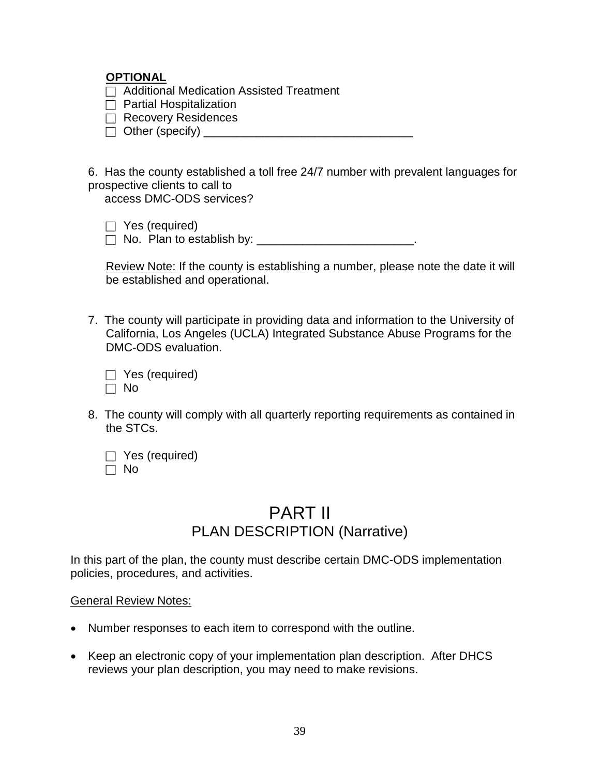### **OPTIONAL**

 $\Box$  Additional Medication Assisted Treatment

- $\Box$  Partial Hospitalization
- $\Box$  Recovery Residences
- $\Box$  Other (specify)  $\Box$

6. Has the county established a toll free 24/7 number with prevalent languages for prospective clients to call to access DMC-ODS services?

 $\Box$  Yes (required)

 $\Box$  No. Plan to establish by: \_\_\_\_\_\_\_\_\_\_\_\_\_\_\_\_\_\_\_\_\_\_\_\_\_\_.

Review Note: If the county is establishing a number, please note the date it will be established and operational.

7. The county will participate in providing data and information to the University of California, Los Angeles (UCLA) Integrated Substance Abuse Programs for the DMC-ODS evaluation.

| $\Box$ Yes (required) |
|-----------------------|
| $\Box$ No             |

8. The county will comply with all quarterly reporting requirements as contained in the STCs.

|           | $\Box$ Yes (required) |
|-----------|-----------------------|
| $\Box$ No |                       |

# PART II PLAN DESCRIPTION (Narrative)

In this part of the plan, the county must describe certain DMC-ODS implementation policies, procedures, and activities.

#### General Review Notes:

- Number responses to each item to correspond with the outline.
- Keep an electronic copy of your implementation plan description. After DHCS reviews your plan description, you may need to make revisions.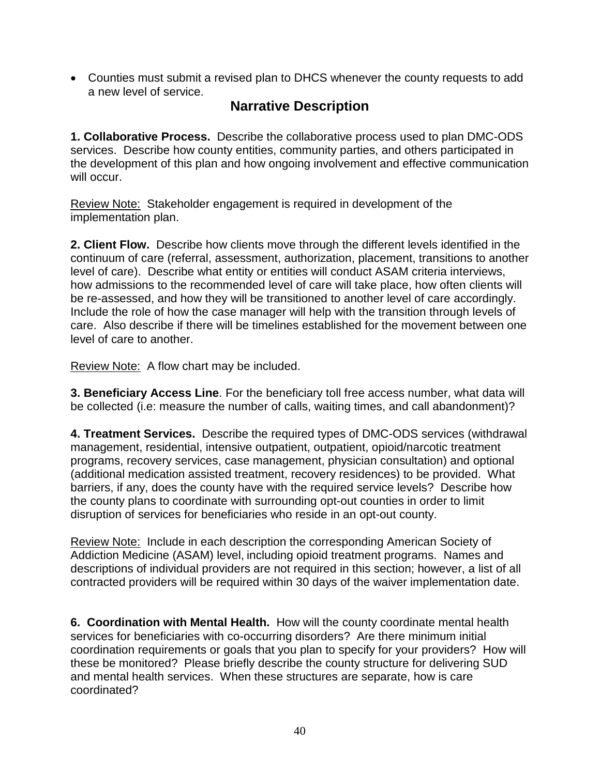• Counties must submit a revised plan to DHCS whenever the county requests to add a new level of service.

# **Narrative Description**

**1. Collaborative Process.** Describe the collaborative process used to plan DMC-ODS services. Describe how county entities, community parties, and others participated in the development of this plan and how ongoing involvement and effective communication will occur.

Review Note: Stakeholder engagement is required in development of the implementation plan.

**2. Client Flow.** Describe how clients move through the different levels identified in the continuum of care (referral, assessment, authorization, placement, transitions to another level of care). Describe what entity or entities will conduct ASAM criteria interviews, how admissions to the recommended level of care will take place, how often clients will be re-assessed, and how they will be transitioned to another level of care accordingly. Include the role of how the case manager will help with the transition through levels of care. Also describe if there will be timelines established for the movement between one level of care to another.

Review Note: A flow chart may be included.

**3. Beneficiary Access Line**. For the beneficiary toll free access number, what data will be collected (i.e: measure the number of calls, waiting times, and call abandonment)?

**4. Treatment Services.** Describe the required types of DMC-ODS services (withdrawal management, residential, intensive outpatient, outpatient, opioid/narcotic treatment programs, recovery services, case management, physician consultation) and optional (additional medication assisted treatment, recovery residences) to be provided. What barriers, if any, does the county have with the required service levels? Describe how the county plans to coordinate with surrounding opt-out counties in order to limit disruption of services for beneficiaries who reside in an opt-out county.

Review Note: Include in each description the corresponding American Society of Addiction Medicine (ASAM) level, including opioid treatment programs. Names and descriptions of individual providers are not required in this section; however, a list of all contracted providers will be required within 30 days of the waiver implementation date.

**6. Coordination with Mental Health.** How will the county coordinate mental health services for beneficiaries with co-occurring disorders? Are there minimum initial coordination requirements or goals that you plan to specify for your providers? How will these be monitored? Please briefly describe the county structure for delivering SUD and mental health services. When these structures are separate, how is care coordinated?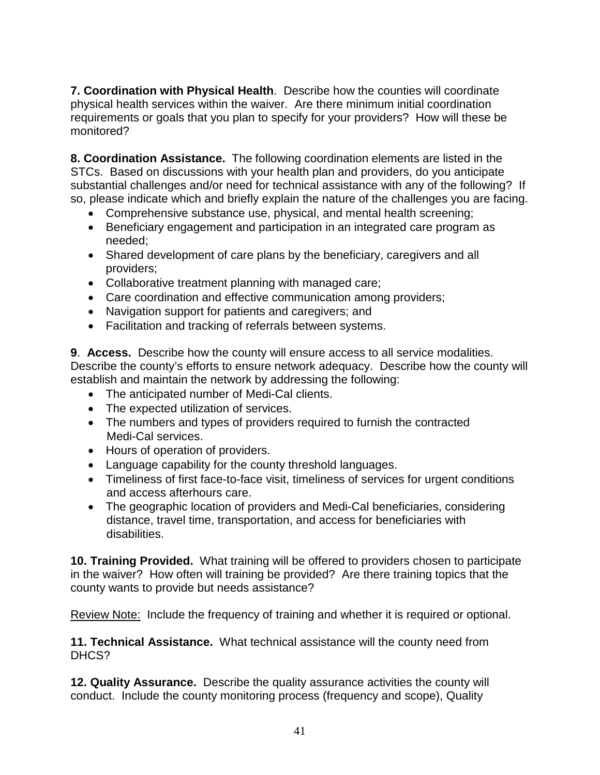**7. Coordination with Physical Health**. Describe how the counties will coordinate physical health services within the waiver. Are there minimum initial coordination requirements or goals that you plan to specify for your providers? How will these be monitored?

**8. Coordination Assistance.** The following coordination elements are listed in the STCs. Based on discussions with your health plan and providers, do you anticipate substantial challenges and/or need for technical assistance with any of the following? If so, please indicate which and briefly explain the nature of the challenges you are facing.

- Comprehensive substance use, physical, and mental health screening;
- Beneficiary engagement and participation in an integrated care program as needed;
- Shared development of care plans by the beneficiary, caregivers and all providers;
- Collaborative treatment planning with managed care;
- Care coordination and effective communication among providers;
- Navigation support for patients and caregivers; and
- Facilitation and tracking of referrals between systems.

**9**. **Access.** Describe how the county will ensure access to all service modalities. Describe the county's efforts to ensure network adequacy. Describe how the county will establish and maintain the network by addressing the following:

- The anticipated number of Medi-Cal clients.
- The expected utilization of services.
- The numbers and types of providers required to furnish the contracted Medi-Cal services.
- Hours of operation of providers.
- Language capability for the county threshold languages.
- Timeliness of first face-to-face visit, timeliness of services for urgent conditions and access afterhours care.
- The geographic location of providers and Medi-Cal beneficiaries, considering distance, travel time, transportation, and access for beneficiaries with disabilities.

**10. Training Provided.** What training will be offered to providers chosen to participate in the waiver? How often will training be provided? Are there training topics that the county wants to provide but needs assistance?

Review Note: Include the frequency of training and whether it is required or optional.

**11. Technical Assistance.** What technical assistance will the county need from DHCS?

**12. Quality Assurance.** Describe the quality assurance activities the county will conduct. Include the county monitoring process (frequency and scope), Quality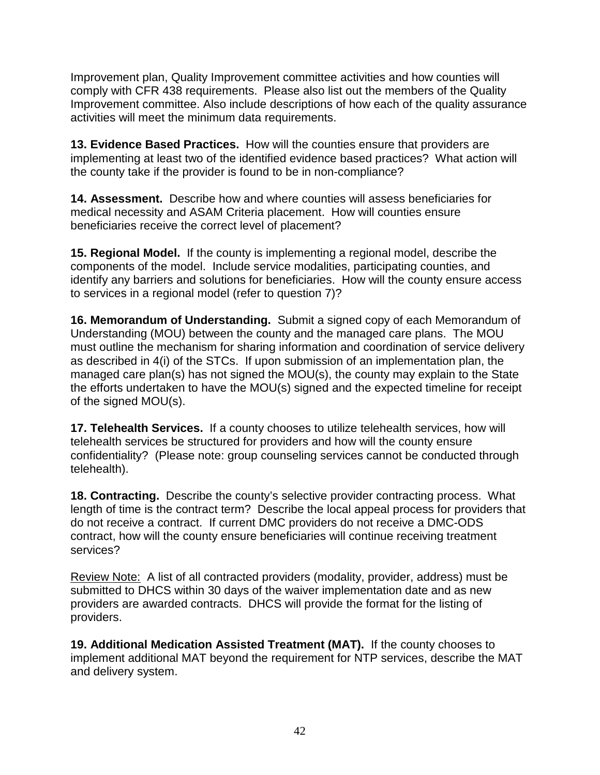Improvement plan, Quality Improvement committee activities and how counties will comply with CFR 438 requirements. Please also list out the members of the Quality Improvement committee. Also include descriptions of how each of the quality assurance activities will meet the minimum data requirements.

**13. Evidence Based Practices.** How will the counties ensure that providers are implementing at least two of the identified evidence based practices? What action will the county take if the provider is found to be in non-compliance?

**14. Assessment.** Describe how and where counties will assess beneficiaries for medical necessity and ASAM Criteria placement. How will counties ensure beneficiaries receive the correct level of placement?

**15. Regional Model.** If the county is implementing a regional model, describe the components of the model. Include service modalities, participating counties, and identify any barriers and solutions for beneficiaries. How will the county ensure access to services in a regional model (refer to question 7)?

**16. Memorandum of Understanding.** Submit a signed copy of each Memorandum of Understanding (MOU) between the county and the managed care plans. The MOU must outline the mechanism for sharing information and coordination of service delivery as described in 4(i) of the STCs. If upon submission of an implementation plan, the managed care plan(s) has not signed the MOU(s), the county may explain to the State the efforts undertaken to have the MOU(s) signed and the expected timeline for receipt of the signed MOU(s).

**17. Telehealth Services.** If a county chooses to utilize telehealth services, how will telehealth services be structured for providers and how will the county ensure confidentiality? (Please note: group counseling services cannot be conducted through telehealth).

**18. Contracting.** Describe the county's selective provider contracting process. What length of time is the contract term? Describe the local appeal process for providers that do not receive a contract. If current DMC providers do not receive a DMC-ODS contract, how will the county ensure beneficiaries will continue receiving treatment services?

Review Note: A list of all contracted providers (modality, provider, address) must be submitted to DHCS within 30 days of the waiver implementation date and as new providers are awarded contracts. DHCS will provide the format for the listing of providers.

**19. Additional Medication Assisted Treatment (MAT).** If the county chooses to implement additional MAT beyond the requirement for NTP services, describe the MAT and delivery system.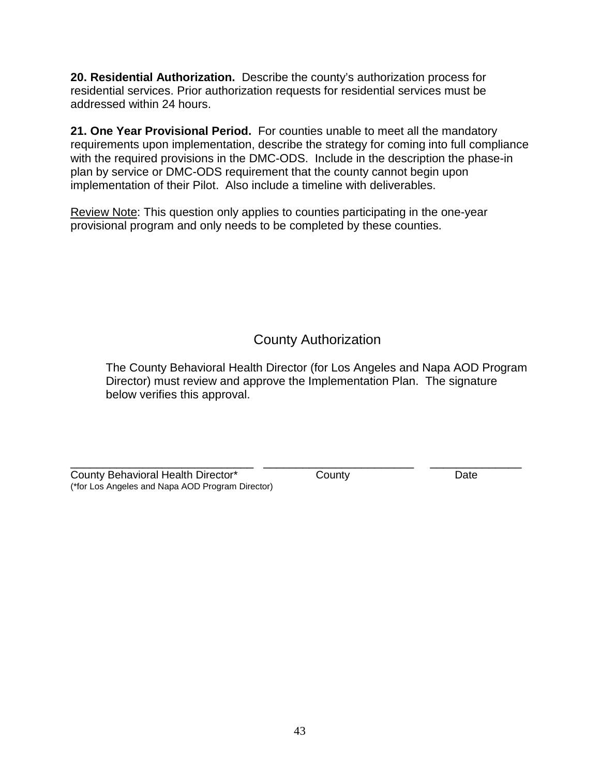**20. Residential Authorization.** Describe the county's authorization process for residential services. Prior authorization requests for residential services must be addressed within 24 hours.

**21. One Year Provisional Period.** For counties unable to meet all the mandatory requirements upon implementation, describe the strategy for coming into full compliance with the required provisions in the DMC-ODS. Include in the description the phase-in plan by service or DMC-ODS requirement that the county cannot begin upon implementation of their Pilot. Also include a timeline with deliverables.

Review Note: This question only applies to counties participating in the one-year provisional program and only needs to be completed by these counties.

# County Authorization

The County Behavioral Health Director (for Los Angeles and Napa AOD Program Director) must review and approve the Implementation Plan. The signature below verifies this approval.

| County Behavioral Health Director*               | County | Date |
|--------------------------------------------------|--------|------|
| (*for Los Angeles and Napa AOD Program Director) |        |      |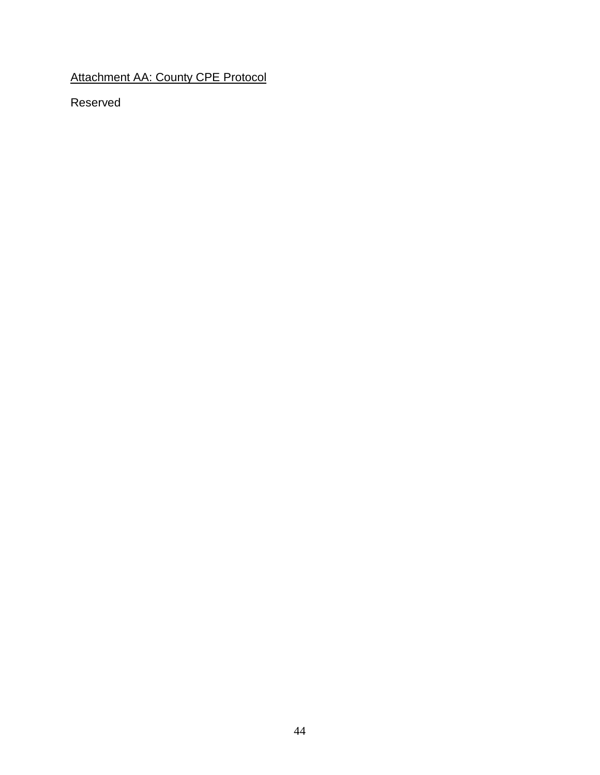Attachment AA: County CPE Protocol

Reserved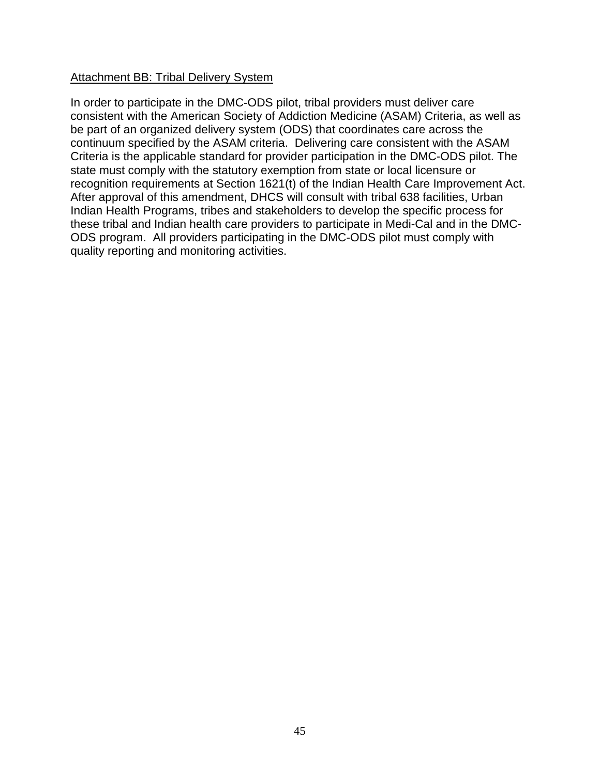### Attachment BB: Tribal Delivery System

In order to participate in the DMC-ODS pilot, tribal providers must deliver care consistent with the American Society of Addiction Medicine (ASAM) Criteria, as well as be part of an organized delivery system (ODS) that coordinates care across the continuum specified by the ASAM criteria. Delivering care consistent with the ASAM Criteria is the applicable standard for provider participation in the DMC-ODS pilot. The state must comply with the statutory exemption from state or local licensure or recognition requirements at Section 1621(t) of the Indian Health Care Improvement Act. After approval of this amendment, DHCS will consult with tribal 638 facilities, Urban Indian Health Programs, tribes and stakeholders to develop the specific process for these tribal and Indian health care providers to participate in Medi-Cal and in the DMC-ODS program. All providers participating in the DMC-ODS pilot must comply with quality reporting and monitoring activities.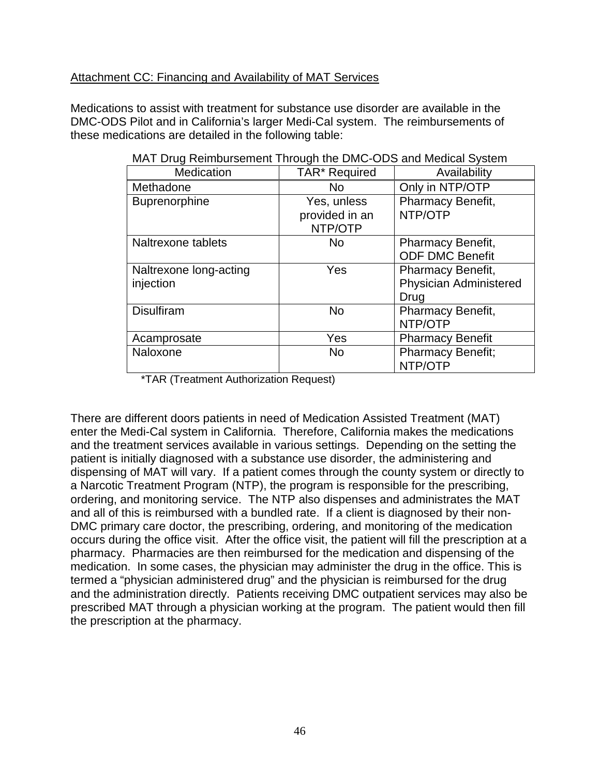### Attachment CC: Financing and Availability of MAT Services

Medications to assist with treatment for substance use disorder are available in the DMC-ODS Pilot and in California's larger Medi-Cal system. The reimbursements of these medications are detailed in the following table:

| Medication                          | TAR* Required                            | Availability                                        |  |  |
|-------------------------------------|------------------------------------------|-----------------------------------------------------|--|--|
| Methadone                           | No.                                      | Only in NTP/OTP                                     |  |  |
| Buprenorphine                       | Yes, unless<br>provided in an<br>NTP/OTP | <b>Pharmacy Benefit,</b><br>NTP/OTP                 |  |  |
| Naltrexone tablets                  | No                                       | Pharmacy Benefit,<br><b>ODF DMC Benefit</b>         |  |  |
| Naltrexone long-acting<br>injection | Yes                                      | Pharmacy Benefit,<br>Physician Administered<br>Drug |  |  |
| <b>Disulfiram</b>                   | No                                       | <b>Pharmacy Benefit,</b><br>NTP/OTP                 |  |  |
| Acamprosate                         | Yes                                      | <b>Pharmacy Benefit</b>                             |  |  |
| Naloxone                            | <b>No</b>                                | <b>Pharmacy Benefit;</b><br>NTP/OTP                 |  |  |

MAT Drug Reimbursement Through the DMC-ODS and Medical System

\*TAR (Treatment Authorization Request)

There are different doors patients in need of Medication Assisted Treatment (MAT) enter the Medi-Cal system in California. Therefore, California makes the medications and the treatment services available in various settings. Depending on the setting the patient is initially diagnosed with a substance use disorder, the administering and dispensing of MAT will vary. If a patient comes through the county system or directly to a Narcotic Treatment Program (NTP), the program is responsible for the prescribing, ordering, and monitoring service. The NTP also dispenses and administrates the MAT and all of this is reimbursed with a bundled rate. If a client is diagnosed by their non-DMC primary care doctor, the prescribing, ordering, and monitoring of the medication occurs during the office visit. After the office visit, the patient will fill the prescription at a pharmacy. Pharmacies are then reimbursed for the medication and dispensing of the medication. In some cases, the physician may administer the drug in the office. This is termed a "physician administered drug" and the physician is reimbursed for the drug and the administration directly. Patients receiving DMC outpatient services may also be prescribed MAT through a physician working at the program. The patient would then fill the prescription at the pharmacy.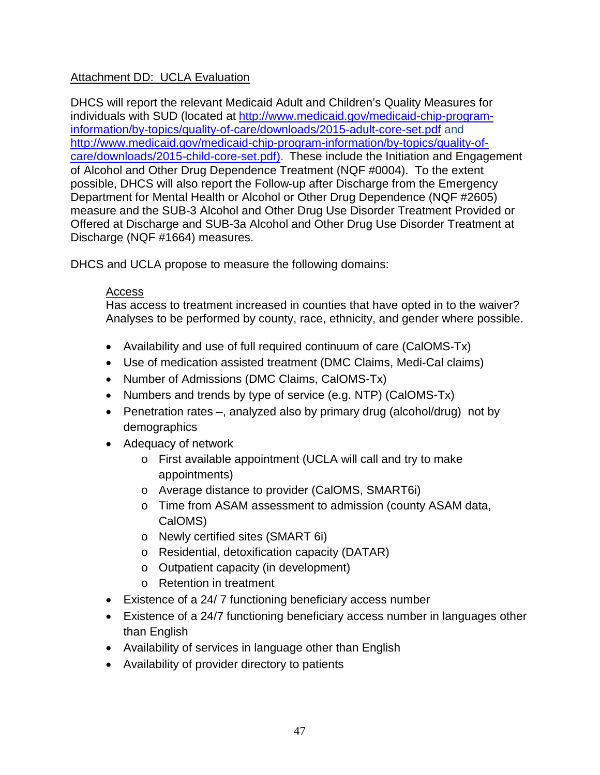## Attachment DD: UCLA Evaluation

DHCS will report the relevant Medicaid Adult and Children's Quality Measures for individuals with SUD (located at [http://www.medicaid.gov/medicaid-chip-program](http://www.medicaid.gov/medicaid-chip-program-information/by-topics/quality-of-care/downloads/2015-adult-core-set.pdf)[information/by-topics/quality-of-care/downloads/2015-adult-core-set.pdf](http://www.medicaid.gov/medicaid-chip-program-information/by-topics/quality-of-care/downloads/2015-adult-core-set.pdf) and [http://www.medicaid.gov/medicaid-chip-program-information/by-topics/quality-of](http://www.medicaid.gov/medicaid-chip-program-information/by-topics/quality-of-care/downloads/2015-child-core-set.pdf)[care/downloads/2015-child-core-set.pdf\)](http://www.medicaid.gov/medicaid-chip-program-information/by-topics/quality-of-care/downloads/2015-child-core-set.pdf). These include the Initiation and Engagement of Alcohol and Other Drug Dependence Treatment (NQF #0004). To the extent possible, DHCS will also report the Follow-up after Discharge from the Emergency Department for Mental Health or Alcohol or Other Drug Dependence (NQF #2605) measure and the SUB-3 Alcohol and Other Drug Use Disorder Treatment Provided or Offered at Discharge and SUB-3a Alcohol and Other Drug Use Disorder Treatment at Discharge (NQF #1664) measures.

DHCS and UCLA propose to measure the following domains:

### Access

Has access to treatment increased in counties that have opted in to the waiver? Analyses to be performed by county, race, ethnicity, and gender where possible.

- Availability and use of full required continuum of care (CalOMS-Tx)
- Use of medication assisted treatment (DMC Claims, Medi-Cal claims)
- Number of Admissions (DMC Claims, CalOMS-Tx)
- Numbers and trends by type of service (e.g. NTP) (CalOMS-Tx)
- Penetration rates –, analyzed also by primary drug (alcohol/drug) not by demographics
- Adequacy of network
	- o First available appointment (UCLA will call and try to make appointments)
	- o Average distance to provider (CalOMS, SMART6i)
	- o Time from ASAM assessment to admission (county ASAM data, CalOMS)
	- o Newly certified sites (SMART 6i)
	- o Residential, detoxification capacity (DATAR)
	- o Outpatient capacity (in development)
	- o Retention in treatment
- Existence of a 24/ 7 functioning beneficiary access number
- Existence of a 24/7 functioning beneficiary access number in languages other than English
- Availability of services in language other than English
- Availability of provider directory to patients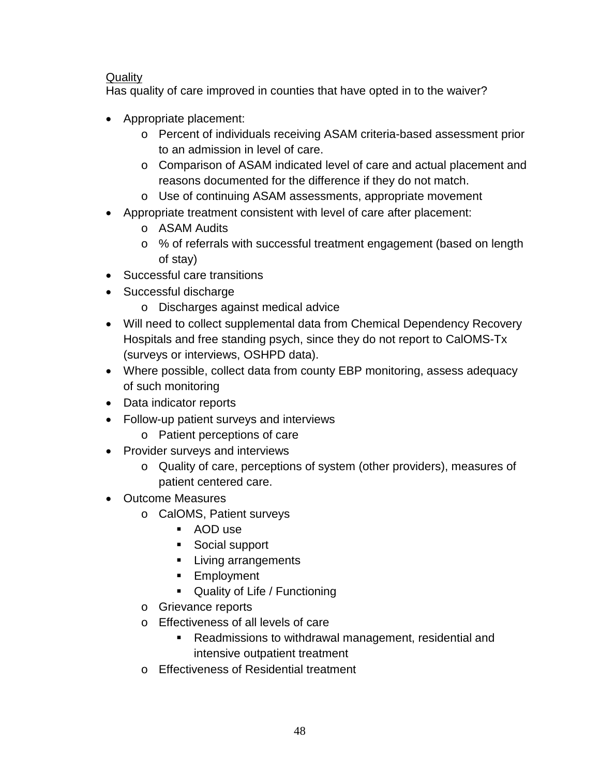# Quality

Has quality of care improved in counties that have opted in to the waiver?

- Appropriate placement:
	- o Percent of individuals receiving ASAM criteria-based assessment prior to an admission in level of care.
	- o Comparison of ASAM indicated level of care and actual placement and reasons documented for the difference if they do not match.
	- o Use of continuing ASAM assessments, appropriate movement
- Appropriate treatment consistent with level of care after placement:
	- o ASAM Audits
	- o % of referrals with successful treatment engagement (based on length of stay)
- Successful care transitions
- Successful discharge
	- o Discharges against medical advice
- Will need to collect supplemental data from Chemical Dependency Recovery Hospitals and free standing psych, since they do not report to CalOMS-Tx (surveys or interviews, OSHPD data).
- Where possible, collect data from county EBP monitoring, assess adequacy of such monitoring
- Data indicator reports
- Follow-up patient surveys and interviews
	- o Patient perceptions of care
- Provider surveys and interviews
	- o Quality of care, perceptions of system (other providers), measures of patient centered care.
- Outcome Measures
	- o CalOMS, Patient surveys
		- AOD use
		- Social support
		- **Living arrangements**
		- **Employment**
		- **Quality of Life / Functioning**
	- o Grievance reports
	- o Effectiveness of all levels of care
		- Readmissions to withdrawal management, residential and intensive outpatient treatment
	- o Effectiveness of Residential treatment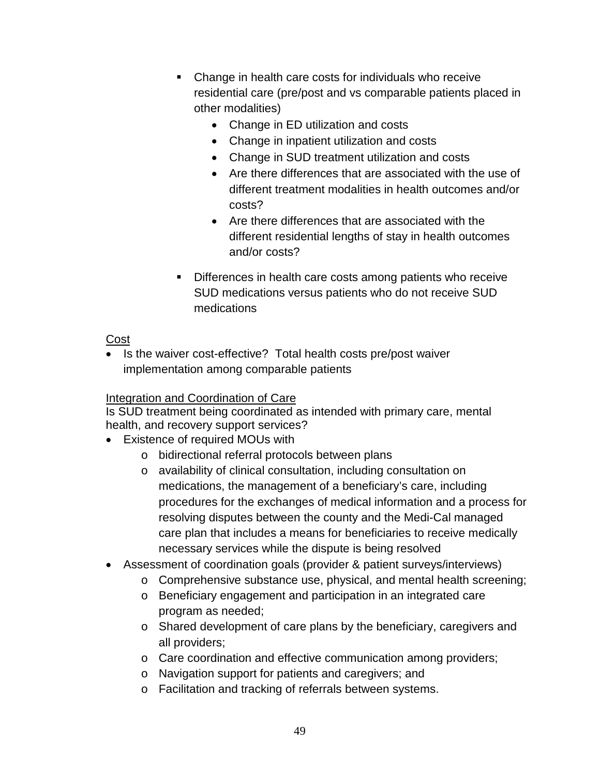- Change in health care costs for individuals who receive residential care (pre/post and vs comparable patients placed in other modalities)
	- Change in ED utilization and costs
	- Change in inpatient utilization and costs
	- Change in SUD treatment utilization and costs
	- Are there differences that are associated with the use of different treatment modalities in health outcomes and/or costs?
	- Are there differences that are associated with the different residential lengths of stay in health outcomes and/or costs?
- **Differences in health care costs among patients who receive** SUD medications versus patients who do not receive SUD medications

Cost

• Is the waiver cost-effective? Total health costs pre/post waiver implementation among comparable patients

# Integration and Coordination of Care

Is SUD treatment being coordinated as intended with primary care, mental health, and recovery support services?

- Existence of required MOUs with
	- o bidirectional referral protocols between plans
	- o availability of clinical consultation, including consultation on medications, the management of a beneficiary's care, including procedures for the exchanges of medical information and a process for resolving disputes between the county and the Medi-Cal managed care plan that includes a means for beneficiaries to receive medically necessary services while the dispute is being resolved
- Assessment of coordination goals (provider & patient surveys/interviews)
	- o Comprehensive substance use, physical, and mental health screening;
	- o Beneficiary engagement and participation in an integrated care program as needed;
	- o Shared development of care plans by the beneficiary, caregivers and all providers;
	- o Care coordination and effective communication among providers;
	- o Navigation support for patients and caregivers; and
	- o Facilitation and tracking of referrals between systems.